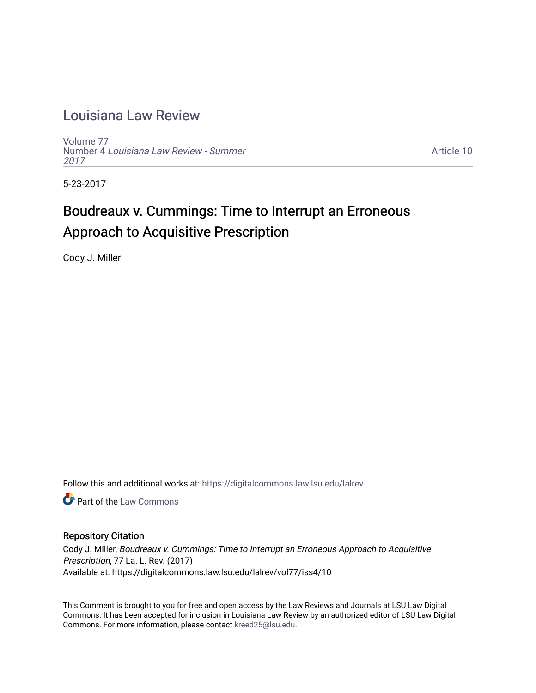## [Louisiana Law Review](https://digitalcommons.law.lsu.edu/lalrev)

[Volume 77](https://digitalcommons.law.lsu.edu/lalrev/vol77) Number 4 [Louisiana Law Review - Summer](https://digitalcommons.law.lsu.edu/lalrev/vol77/iss4) [2017](https://digitalcommons.law.lsu.edu/lalrev/vol77/iss4) 

[Article 10](https://digitalcommons.law.lsu.edu/lalrev/vol77/iss4/10) 

5-23-2017

# Boudreaux v. Cummings: Time to Interrupt an Erroneous Approach to Acquisitive Prescription

Cody J. Miller

Follow this and additional works at: [https://digitalcommons.law.lsu.edu/lalrev](https://digitalcommons.law.lsu.edu/lalrev?utm_source=digitalcommons.law.lsu.edu%2Flalrev%2Fvol77%2Fiss4%2F10&utm_medium=PDF&utm_campaign=PDFCoverPages)

**C** Part of the [Law Commons](http://network.bepress.com/hgg/discipline/578?utm_source=digitalcommons.law.lsu.edu%2Flalrev%2Fvol77%2Fiss4%2F10&utm_medium=PDF&utm_campaign=PDFCoverPages)

## Repository Citation

Cody J. Miller, Boudreaux v. Cummings: Time to Interrupt an Erroneous Approach to Acquisitive Prescription, 77 La. L. Rev. (2017) Available at: https://digitalcommons.law.lsu.edu/lalrev/vol77/iss4/10

This Comment is brought to you for free and open access by the Law Reviews and Journals at LSU Law Digital Commons. It has been accepted for inclusion in Louisiana Law Review by an authorized editor of LSU Law Digital Commons. For more information, please contact [kreed25@lsu.edu](mailto:kreed25@lsu.edu).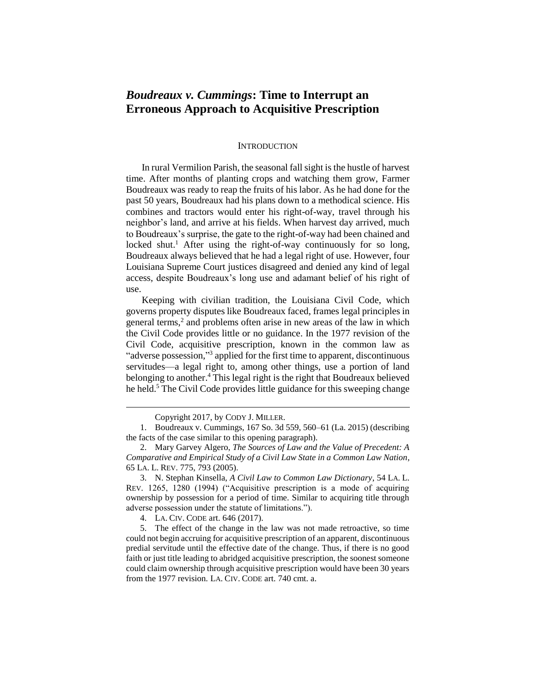## *Boudreaux v. Cummings***: Time to Interrupt an Erroneous Approach to Acquisitive Prescription**

#### **INTRODUCTION**

In rural Vermilion Parish, the seasonal fall sight is the hustle of harvest time. After months of planting crops and watching them grow, Farmer Boudreaux was ready to reap the fruits of his labor. As he had done for the past 50 years, Boudreaux had his plans down to a methodical science. His combines and tractors would enter his right-of-way, travel through his neighbor's land, and arrive at his fields. When harvest day arrived, much to Boudreaux's surprise, the gate to the right-of-way had been chained and locked shut.<sup>1</sup> After using the right-of-way continuously for so long, Boudreaux always believed that he had a legal right of use. However, four Louisiana Supreme Court justices disagreed and denied any kind of legal access, despite Boudreaux's long use and adamant belief of his right of use.

Keeping with civilian tradition, the Louisiana Civil Code, which governs property disputes like Boudreaux faced, frames legal principles in general terms,<sup>2</sup> and problems often arise in new areas of the law in which the Civil Code provides little or no guidance. In the 1977 revision of the Civil Code, acquisitive prescription, known in the common law as "adverse possession,"<sup>3</sup> applied for the first time to apparent, discontinuous servitudes—a legal right to, among other things, use a portion of land belonging to another.<sup>4</sup> This legal right is the right that Boudreaux believed he held. <sup>5</sup> The Civil Code provides little guidance for this sweeping change

 $\overline{a}$ 

4. LA. CIV. CODE art. 646 (2017).

5. The effect of the change in the law was not made retroactive, so time could not begin accruing for acquisitive prescription of an apparent, discontinuous predial servitude until the effective date of the change. Thus, if there is no good faith or just title leading to abridged acquisitive prescription, the soonest someone could claim ownership through acquisitive prescription would have been 30 years from the 1977 revision. LA. CIV. CODE art. 740 cmt. a.

Copyright 2017, by CODY J. MILLER.

<sup>1.</sup> Boudreaux v. Cummings, 167 So. 3d 559, 560–61 (La. 2015) (describing the facts of the case similar to this opening paragraph).

<sup>2.</sup> Mary Garvey Algero, *The Sources of Law and the Value of Precedent: A Comparative and Empirical Study of a Civil Law State in a Common Law Nation*, 65 LA. L. REV. 775, 793 (2005).

<sup>3.</sup> N. Stephan Kinsella, *A Civil Law to Common Law Dictionary*, 54 LA. L. REV. 1265, 1280 (1994) ("Acquisitive prescription is a mode of acquiring ownership by possession for a period of time. Similar to acquiring title through adverse possession under the statute of limitations.").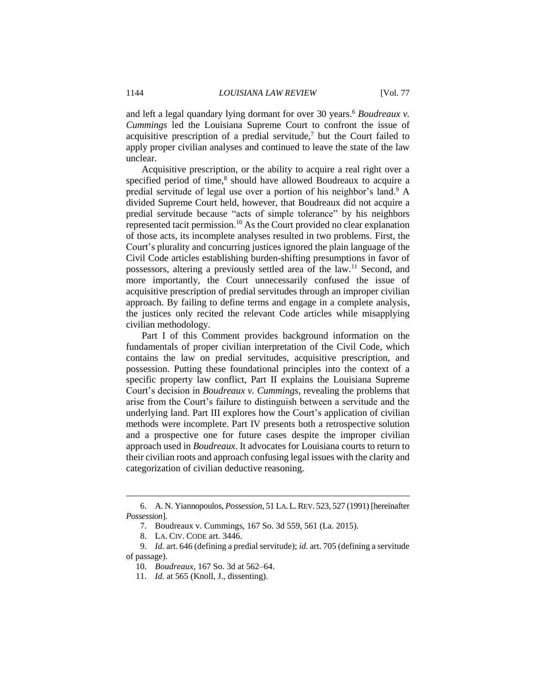and left a legal quandary lying dormant for over 30 years.<sup>6</sup> *Boudreaux v. Cummings* led the Louisiana Supreme Court to confront the issue of acquisitive prescription of a predial servitude,<sup>7</sup> but the Court failed to apply proper civilian analyses and continued to leave the state of the law unclear.

Acquisitive prescription, or the ability to acquire a real right over a specified period of time,<sup>8</sup> should have allowed Boudreaux to acquire a predial servitude of legal use over a portion of his neighbor's land. <sup>9</sup> A divided Supreme Court held, however, that Boudreaux did not acquire a predial servitude because "acts of simple tolerance" by his neighbors represented tacit permission.<sup>10</sup> As the Court provided no clear explanation of those acts, its incomplete analyses resulted in two problems. First, the Court's plurality and concurring justices ignored the plain language of the Civil Code articles establishing burden-shifting presumptions in favor of possessors, altering a previously settled area of the law.<sup>11</sup> Second, and more importantly, the Court unnecessarily confused the issue of acquisitive prescription of predial servitudes through an improper civilian approach. By failing to define terms and engage in a complete analysis, the justices only recited the relevant Code articles while misapplying civilian methodology.

Part I of this Comment provides background information on the fundamentals of proper civilian interpretation of the Civil Code, which contains the law on predial servitudes, acquisitive prescription, and possession. Putting these foundational principles into the context of a specific property law conflict, Part II explains the Louisiana Supreme Court's decision in *Boudreaux v. Cummings*, revealing the problems that arise from the Court's failure to distinguish between a servitude and the underlying land. Part III explores how the Court's application of civilian methods were incomplete. Part IV presents both a retrospective solution and a prospective one for future cases despite the improper civilian approach used in *Boudreaux*. It advocates for Louisiana courts to return to their civilian roots and approach confusing legal issues with the clarity and categorization of civilian deductive reasoning.

<sup>6.</sup> A. N. Yiannopoulos, *Possession*, 51 LA.L.REV. 523, 527 (1991) [hereinafter *Possession*].

<sup>7.</sup> Boudreaux v. Cummings, 167 So. 3d 559, 561 (La. 2015).

<sup>8.</sup> LA. CIV. CODE art. 3446.

<sup>9.</sup> *Id.* art. 646 (defining a predial servitude); *id.* art. 705 (defining a servitude of passage).

<sup>10.</sup> *Boudreaux*, 167 So. 3d at 562–64.

<sup>11.</sup> *Id.* at 565 (Knoll, J., dissenting).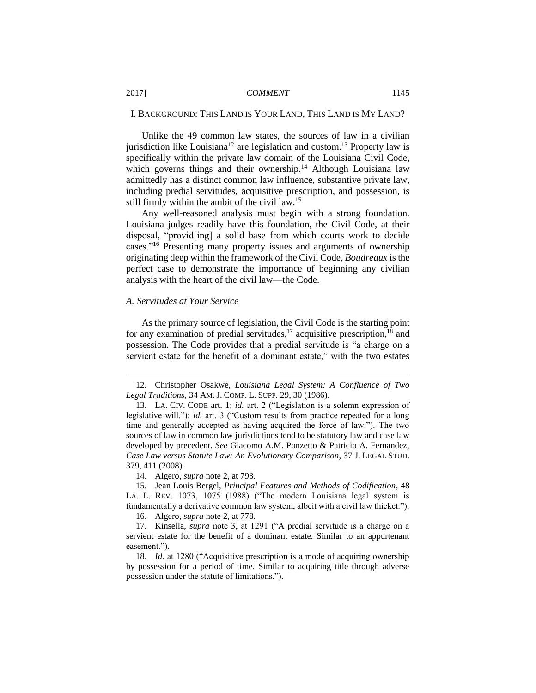#### I. BACKGROUND: THIS LAND IS YOUR LAND, THIS LAND IS MY LAND?

Unlike the 49 common law states, the sources of law in a civilian jurisdiction like Louisiana<sup>12</sup> are legislation and custom.<sup>13</sup> Property law is specifically within the private law domain of the Louisiana Civil Code, which governs things and their ownership.<sup>14</sup> Although Louisiana law admittedly has a distinct common law influence, substantive private law, including predial servitudes, acquisitive prescription, and possession, is still firmly within the ambit of the civil law.<sup>15</sup>

Any well-reasoned analysis must begin with a strong foundation. Louisiana judges readily have this foundation, the Civil Code, at their disposal, "provid[ing] a solid base from which courts work to decide cases."<sup>16</sup> Presenting many property issues and arguments of ownership originating deep within the framework of the Civil Code, *Boudreaux* is the perfect case to demonstrate the importance of beginning any civilian analysis with the heart of the civil law—the Code.

#### *A. Servitudes at Your Service*

As the primary source of legislation, the Civil Code is the starting point for any examination of predial servitudes, $^{17}$  acquisitive prescription, $^{18}$  and possession. The Code provides that a predial servitude is "a charge on a servient estate for the benefit of a dominant estate," with the two estates

14. Algero, *supra* note 2, at 793.

16. Algero, *supra* note 2, at 778.

<sup>12.</sup> Christopher Osakwe, *Louisiana Legal System: A Confluence of Two Legal Traditions*, 34 AM. J. COMP. L. SUPP. 29, 30 (1986).

<sup>13.</sup> LA. CIV. CODE art. 1; *id.* art. 2 ("Legislation is a solemn expression of legislative will."); *id.* art. 3 ("Custom results from practice repeated for a long time and generally accepted as having acquired the force of law."). The two sources of law in common law jurisdictions tend to be statutory law and case law developed by precedent. *See* Giacomo A.M. Ponzetto & Patricio A. Fernandez, *Case Law versus Statute Law: An Evolutionary Comparison*, 37 J. LEGAL STUD. 379, 411 (2008).

<sup>15.</sup> Jean Louis Bergel, *Principal Features and Methods of Codification*, 48 LA. L. REV. 1073, 1075 (1988) ("The modern Louisiana legal system is fundamentally a derivative common law system, albeit with a civil law thicket.").

<sup>17.</sup> Kinsella, *supra* note 3, at 1291 ("A predial servitude is a charge on a servient estate for the benefit of a dominant estate. Similar to an appurtenant easement.").

<sup>18.</sup> *Id.* at 1280 ("Acquisitive prescription is a mode of acquiring ownership by possession for a period of time. Similar to acquiring title through adverse possession under the statute of limitations.").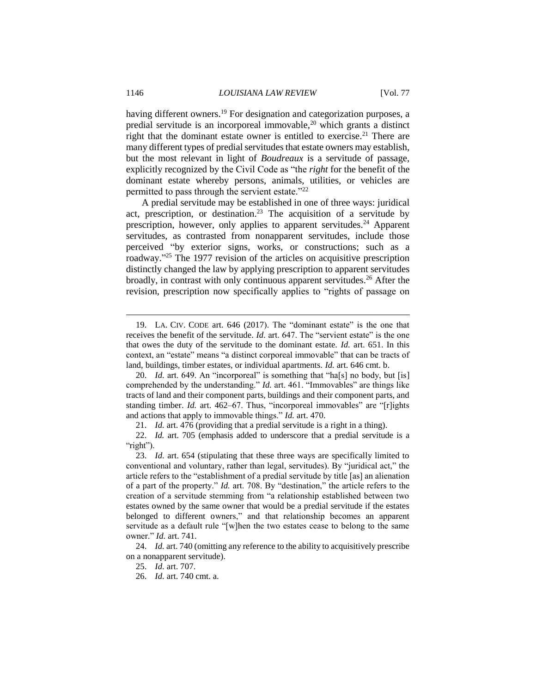having different owners.<sup>19</sup> For designation and categorization purposes, a predial servitude is an incorporeal immovable,<sup>20</sup> which grants a distinct right that the dominant estate owner is entitled to exercise.<sup>21</sup> There are many different types of predial servitudes that estate owners may establish, but the most relevant in light of *Boudreaux* is a servitude of passage, explicitly recognized by the Civil Code as "the *right* for the benefit of the dominant estate whereby persons, animals, utilities, or vehicles are permitted to pass through the servient estate."<sup>22</sup>

A predial servitude may be established in one of three ways: juridical act, prescription, or destination.<sup>23</sup> The acquisition of a servitude by prescription, however, only applies to apparent servitudes.<sup>24</sup> Apparent servitudes, as contrasted from nonapparent servitudes, include those perceived "by exterior signs, works, or constructions; such as a roadway."<sup>25</sup> The 1977 revision of the articles on acquisitive prescription distinctly changed the law by applying prescription to apparent servitudes broadly, in contrast with only continuous apparent servitudes.<sup>26</sup> After the revision, prescription now specifically applies to "rights of passage on

21. *Id.* art. 476 (providing that a predial servitude is a right in a thing).

<sup>19.</sup> LA. CIV. CODE art. 646 (2017). The "dominant estate" is the one that receives the benefit of the servitude. *Id.* art. 647. The "servient estate" is the one that owes the duty of the servitude to the dominant estate. *Id.* art. 651. In this context, an "estate" means "a distinct corporeal immovable" that can be tracts of land, buildings, timber estates, or individual apartments. *Id.* art. 646 cmt. b.

<sup>20.</sup> *Id.* art. 649. An "incorporeal" is something that "ha[s] no body, but [is] comprehended by the understanding." *Id.* art. 461. "Immovables" are things like tracts of land and their component parts, buildings and their component parts, and standing timber. *Id.* art. 462–67. Thus, "incorporeal immovables" are "[r]ights and actions that apply to immovable things." *Id.* art. 470.

<sup>22.</sup> *Id.* art. 705 (emphasis added to underscore that a predial servitude is a "right").

<sup>23.</sup> *Id.* art. 654 (stipulating that these three ways are specifically limited to conventional and voluntary, rather than legal, servitudes). By "juridical act," the article refers to the "establishment of a predial servitude by title [as] an alienation of a part of the property." *Id.* art. 708. By "destination," the article refers to the creation of a servitude stemming from "a relationship established between two estates owned by the same owner that would be a predial servitude if the estates belonged to different owners," and that relationship becomes an apparent servitude as a default rule "[w]hen the two estates cease to belong to the same owner." *Id.* art. 741.

<sup>24.</sup> *Id.* art. 740 (omitting any reference to the ability to acquisitively prescribe on a nonapparent servitude).

<sup>25.</sup> *Id.* art. 707.

<sup>26.</sup> *Id.* art. 740 cmt. a.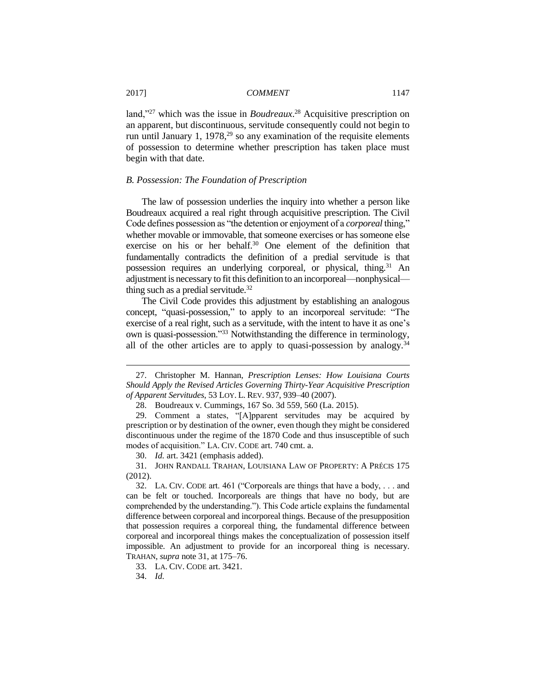land,"<sup>27</sup> which was the issue in *Boudreaux*. <sup>28</sup> Acquisitive prescription on an apparent, but discontinuous, servitude consequently could not begin to run until January 1, 1978,<sup>29</sup> so any examination of the requisite elements of possession to determine whether prescription has taken place must begin with that date.

#### *B. Possession: The Foundation of Prescription*

The law of possession underlies the inquiry into whether a person like Boudreaux acquired a real right through acquisitive prescription. The Civil Code defines possession as "the detention or enjoyment of a *corporeal* thing," whether movable or immovable, that someone exercises or has someone else exercise on his or her behalf.<sup>30</sup> One element of the definition that fundamentally contradicts the definition of a predial servitude is that possession requires an underlying corporeal, or physical, thing.<sup>31</sup> An adjustment is necessary to fit this definition to an incorporeal—nonphysical thing such as a predial servitude.<sup>32</sup>

The Civil Code provides this adjustment by establishing an analogous concept, "quasi-possession," to apply to an incorporeal servitude: "The exercise of a real right, such as a servitude, with the intent to have it as one's own is quasi-possession."<sup>33</sup> Notwithstanding the difference in terminology, all of the other articles are to apply to quasi-possession by analogy.<sup>34</sup>

30. *Id.* art. 3421 (emphasis added).

<sup>27.</sup> Christopher M. Hannan, *Prescription Lenses: How Louisiana Courts Should Apply the Revised Articles Governing Thirty-Year Acquisitive Prescription of Apparent Servitudes*, 53 LOY. L. REV. 937, 939–40 (2007).

<sup>28.</sup> Boudreaux v. Cummings, 167 So. 3d 559, 560 (La. 2015).

<sup>29.</sup> Comment a states, "[A]pparent servitudes may be acquired by prescription or by destination of the owner, even though they might be considered discontinuous under the regime of the 1870 Code and thus insusceptible of such modes of acquisition." LA. CIV. CODE art. 740 cmt. a.

<sup>31.</sup> JOHN RANDALL TRAHAN, LOUISIANA LAW OF PROPERTY: A PRÉCIS 175 (2012).

<sup>32.</sup> LA. CIV. CODE art. 461 ("Corporeals are things that have a body, . . . and can be felt or touched. Incorporeals are things that have no body, but are comprehended by the understanding."). This Code article explains the fundamental difference between corporeal and incorporeal things. Because of the presupposition that possession requires a corporeal thing, the fundamental difference between corporeal and incorporeal things makes the conceptualization of possession itself impossible. An adjustment to provide for an incorporeal thing is necessary. TRAHAN, *supra* note 31, at 175–76.

<sup>33.</sup> LA. CIV. CODE art. 3421.

<sup>34.</sup> *Id.*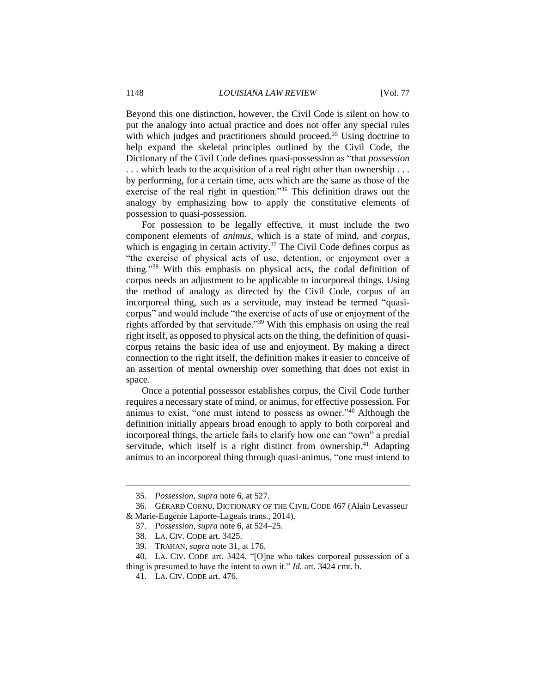Beyond this one distinction, however, the Civil Code is silent on how to put the analogy into actual practice and does not offer any special rules with which judges and practitioners should proceed.<sup>35</sup> Using doctrine to help expand the skeletal principles outlined by the Civil Code, the Dictionary of the Civil Code defines quasi-possession as "that *possession*

. . . which leads to the acquisition of a real right other than ownership . . . by performing, for a certain time, acts which are the same as those of the exercise of the real right in question."<sup>36</sup> This definition draws out the analogy by emphasizing how to apply the constitutive elements of possession to quasi-possession.

For possession to be legally effective, it must include the two component elements of *animus*, which is a state of mind, and *corpus*, which is engaging in certain activity.<sup>37</sup> The Civil Code defines corpus as "the exercise of physical acts of use, detention, or enjoyment over a thing."<sup>38</sup> With this emphasis on physical acts, the codal definition of corpus needs an adjustment to be applicable to incorporeal things. Using the method of analogy as directed by the Civil Code, corpus of an incorporeal thing, such as a servitude, may instead be termed "quasicorpus" and would include "the exercise of acts of use or enjoyment of the rights afforded by that servitude."<sup>39</sup> With this emphasis on using the real right itself, as opposed to physical acts on the thing, the definition of quasicorpus retains the basic idea of use and enjoyment. By making a direct connection to the right itself, the definition makes it easier to conceive of an assertion of mental ownership over something that does not exist in space.

Once a potential possessor establishes corpus, the Civil Code further requires a necessary state of mind, or animus, for effective possession. For animus to exist, "one must intend to possess as owner."<sup>40</sup> Although the definition initially appears broad enough to apply to both corporeal and incorporeal things, the article fails to clarify how one can "own" a predial servitude, which itself is a right distinct from ownership.<sup>41</sup> Adapting animus to an incorporeal thing through quasi-animus, "one must intend to

<sup>35.</sup> *Possession*, *supra* note 6, at 527.

<sup>36.</sup> GÉRARD CORNU, DICTIONARY OF THE CIVIL CODE 467 (Alain Levasseur & Marie-Eugénie Laporte-Lageais trans., 2014).

<sup>37.</sup> *Possession*, *supra* note 6, at 524–25.

<sup>38.</sup> LA. CIV. CODE art. 3425.

<sup>39.</sup> TRAHAN, *supra* note 31, at 176.

<sup>40.</sup> LA. CIV. CODE art. 3424. "[O]ne who takes corporeal possession of a thing is presumed to have the intent to own it." *Id.* art. 3424 cmt. b.

<sup>41.</sup> LA. CIV. CODE art. 476.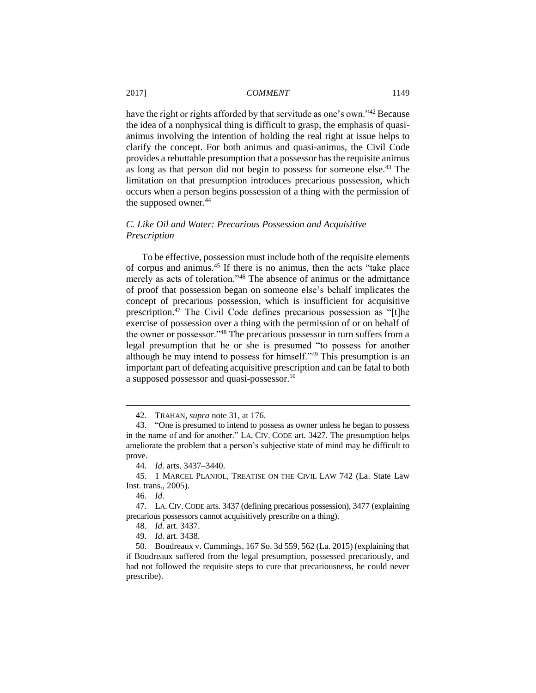have the right or rights afforded by that servitude as one's own."<sup>42</sup> Because the idea of a nonphysical thing is difficult to grasp, the emphasis of quasianimus involving the intention of holding the real right at issue helps to clarify the concept. For both animus and quasi-animus, the Civil Code provides a rebuttable presumption that a possessor has the requisite animus as long as that person did not begin to possess for someone else.<sup>43</sup> The limitation on that presumption introduces precarious possession, which occurs when a person begins possession of a thing with the permission of the supposed owner.<sup>44</sup>

#### *C. Like Oil and Water: Precarious Possession and Acquisitive Prescription*

To be effective, possession must include both of the requisite elements of corpus and animus.<sup>45</sup> If there is no animus, then the acts "take place merely as acts of toleration."<sup>46</sup> The absence of animus or the admittance of proof that possession began on someone else's behalf implicates the concept of precarious possession, which is insufficient for acquisitive prescription.<sup>47</sup> The Civil Code defines precarious possession as "[t]he exercise of possession over a thing with the permission of or on behalf of the owner or possessor."<sup>48</sup> The precarious possessor in turn suffers from a legal presumption that he or she is presumed "to possess for another although he may intend to possess for himself."<sup>49</sup> This presumption is an important part of defeating acquisitive prescription and can be fatal to both a supposed possessor and quasi-possessor.<sup>50</sup>

<sup>42.</sup> TRAHAN, *supra* note 31, at 176.

<sup>43.</sup> "One is presumed to intend to possess as owner unless he began to possess in the name of and for another." LA. CIV. CODE art. 3427. The presumption helps ameliorate the problem that a person's subjective state of mind may be difficult to prove.

<sup>44.</sup> *Id.* arts. 3437–3440.

<sup>45.</sup> 1 MARCEL PLANIOL, TREATISE ON THE CIVIL LAW 742 (La. State Law Inst. trans., 2005).

<sup>46.</sup> *Id.*

<sup>47.</sup> LA. CIV. CODE arts. 3437 (defining precarious possession), 3477 (explaining precarious possessors cannot acquisitively prescribe on a thing).

<sup>48.</sup> *Id.* art. 3437.

<sup>49.</sup> *Id.* art. 3438.

<sup>50.</sup> Boudreaux v. Cummings, 167 So. 3d 559, 562 (La. 2015) (explaining that if Boudreaux suffered from the legal presumption, possessed precariously, and had not followed the requisite steps to cure that precariousness, he could never prescribe).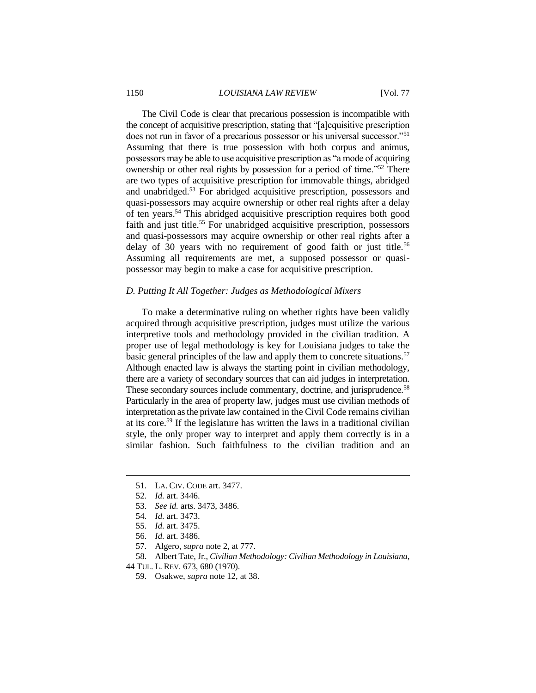#### 1150 *LOUISIANA LAW REVIEW* [Vol. 77

The Civil Code is clear that precarious possession is incompatible with the concept of acquisitive prescription, stating that "[a]cquisitive prescription does not run in favor of a precarious possessor or his universal successor."<sup>51</sup> Assuming that there is true possession with both corpus and animus, possessors may be able to use acquisitive prescription as "a mode of acquiring ownership or other real rights by possession for a period of time."<sup>52</sup> There are two types of acquisitive prescription for immovable things, abridged and unabridged.<sup>53</sup> For abridged acquisitive prescription, possessors and quasi-possessors may acquire ownership or other real rights after a delay of ten years.<sup>54</sup> This abridged acquisitive prescription requires both good faith and just title.<sup>55</sup> For unabridged acquisitive prescription, possessors and quasi-possessors may acquire ownership or other real rights after a delay of 30 years with no requirement of good faith or just title.<sup>56</sup> Assuming all requirements are met, a supposed possessor or quasipossessor may begin to make a case for acquisitive prescription.

#### *D. Putting It All Together: Judges as Methodological Mixers*

To make a determinative ruling on whether rights have been validly acquired through acquisitive prescription, judges must utilize the various interpretive tools and methodology provided in the civilian tradition. A proper use of legal methodology is key for Louisiana judges to take the basic general principles of the law and apply them to concrete situations.<sup>57</sup> Although enacted law is always the starting point in civilian methodology, there are a variety of secondary sources that can aid judges in interpretation. These secondary sources include commentary, doctrine, and jurisprudence.<sup>58</sup> Particularly in the area of property law, judges must use civilian methods of interpretation as the private law contained in the Civil Code remains civilian at its core.<sup>59</sup> If the legislature has written the laws in a traditional civilian style, the only proper way to interpret and apply them correctly is in a similar fashion. Such faithfulness to the civilian tradition and an

 $\overline{a}$ 

44 TUL. L. REV. 673, 680 (1970).

<sup>51.</sup> LA. CIV. CODE art. 3477.

<sup>52.</sup> *Id.* art. 3446.

<sup>53.</sup> *See id.* arts. 3473, 3486.

<sup>54.</sup> *Id.* art. 3473.

<sup>55.</sup> *Id.* art. 3475.

<sup>56.</sup> *Id.* art. 3486.

<sup>57.</sup> Algero, *supra* note 2, at 777.

<sup>58.</sup> Albert Tate, Jr., *Civilian Methodology: Civilian Methodology in Louisiana*,

<sup>59.</sup> Osakwe, *supra* note 12, at 38.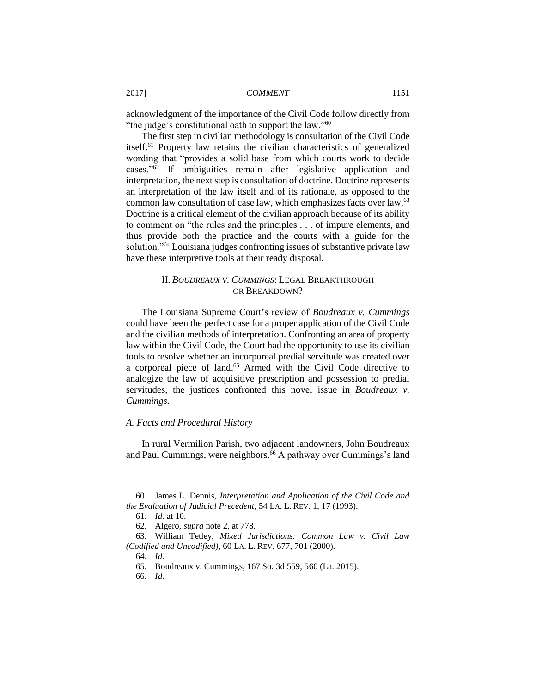acknowledgment of the importance of the Civil Code follow directly from "the judge's constitutional oath to support the law."<sup>60</sup>

The first step in civilian methodology is consultation of the Civil Code itself.<sup>61</sup> Property law retains the civilian characteristics of generalized wording that "provides a solid base from which courts work to decide cases."<sup>62</sup> If ambiguities remain after legislative application and interpretation, the next step is consultation of doctrine. Doctrine represents an interpretation of the law itself and of its rationale, as opposed to the common law consultation of case law, which emphasizes facts over law.<sup>63</sup> Doctrine is a critical element of the civilian approach because of its ability to comment on "the rules and the principles . . . of impure elements, and thus provide both the practice and the courts with a guide for the solution."<sup>64</sup> Louisiana judges confronting issues of substantive private law have these interpretive tools at their ready disposal.

## II. *BOUDREAUX V. CUMMINGS*: LEGAL BREAKTHROUGH OR BREAKDOWN?

The Louisiana Supreme Court's review of *Boudreaux v. Cummings* could have been the perfect case for a proper application of the Civil Code and the civilian methods of interpretation. Confronting an area of property law within the Civil Code, the Court had the opportunity to use its civilian tools to resolve whether an incorporeal predial servitude was created over a corporeal piece of land. <sup>65</sup> Armed with the Civil Code directive to analogize the law of acquisitive prescription and possession to predial servitudes, the justices confronted this novel issue in *Boudreaux v. Cummings*.

#### *A. Facts and Procedural History*

In rural Vermilion Parish, two adjacent landowners, John Boudreaux and Paul Cummings, were neighbors.<sup>66</sup> A pathway over Cummings's land

<sup>60.</sup> James L. Dennis, *Interpretation and Application of the Civil Code and the Evaluation of Judicial Precedent*, 54 LA. L. REV. 1, 17 (1993).

<sup>61.</sup> *Id.* at 10.

<sup>62.</sup> Algero, *supra* note 2, at 778.

<sup>63.</sup> William Tetley, *Mixed Jurisdictions: Common Law v. Civil Law (Codified and Uncodified)*, 60 LA. L. REV. 677, 701 (2000).

<sup>64.</sup> *Id.*

<sup>65.</sup> Boudreaux v. Cummings, 167 So. 3d 559, 560 (La. 2015).

<sup>66.</sup> *Id.*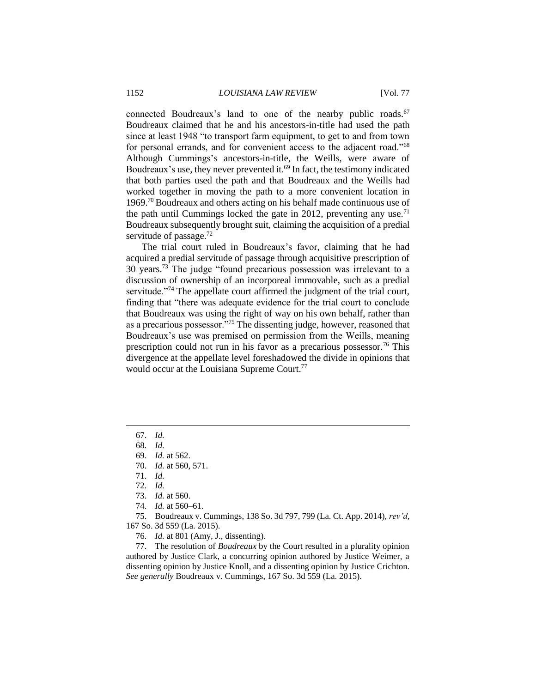connected Boudreaux's land to one of the nearby public roads.<sup>67</sup> Boudreaux claimed that he and his ancestors-in-title had used the path since at least 1948 "to transport farm equipment, to get to and from town for personal errands, and for convenient access to the adjacent road."<sup>68</sup> Although Cummings's ancestors-in-title, the Weills, were aware of Boudreaux's use, they never prevented it. <sup>69</sup> In fact, the testimony indicated that both parties used the path and that Boudreaux and the Weills had worked together in moving the path to a more convenient location in 1969.<sup>70</sup> Boudreaux and others acting on his behalf made continuous use of the path until Cummings locked the gate in 2012, preventing any use.<sup>71</sup> Boudreaux subsequently brought suit, claiming the acquisition of a predial servitude of passage.<sup>72</sup>

The trial court ruled in Boudreaux's favor, claiming that he had acquired a predial servitude of passage through acquisitive prescription of 30 years.<sup>73</sup> The judge "found precarious possession was irrelevant to a discussion of ownership of an incorporeal immovable, such as a predial servitude."<sup>74</sup> The appellate court affirmed the judgment of the trial court, finding that "there was adequate evidence for the trial court to conclude that Boudreaux was using the right of way on his own behalf, rather than as a precarious possessor."<sup>75</sup> The dissenting judge, however, reasoned that Boudreaux's use was premised on permission from the Weills, meaning prescription could not run in his favor as a precarious possessor.<sup>76</sup> This divergence at the appellate level foreshadowed the divide in opinions that would occur at the Louisiana Supreme Court.<sup>77</sup>

67. *Id.*

 $\overline{a}$ 

- 68. *Id.*
- 69. *Id.* at 562.
- 70. *Id.* at 560, 571.
- 71. *Id.*
- 72. *Id.*
- 73. *Id.* at 560.
- 74. *Id.* at 560–61.

75. Boudreaux v. Cummings, 138 So. 3d 797, 799 (La. Ct. App. 2014), *rev'd*, 167 So. 3d 559 (La. 2015).

76. *Id.* at 801 (Amy, J., dissenting).

77. The resolution of *Boudreaux* by the Court resulted in a plurality opinion authored by Justice Clark, a concurring opinion authored by Justice Weimer, a dissenting opinion by Justice Knoll, and a dissenting opinion by Justice Crichton. *See generally* Boudreaux v. Cummings, 167 So. 3d 559 (La. 2015).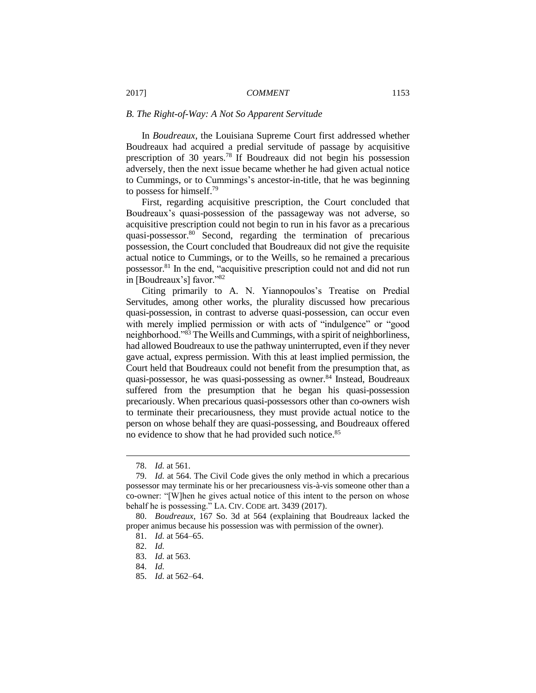#### *B. The Right-of-Way: A Not So Apparent Servitude*

In *Boudreaux*, the Louisiana Supreme Court first addressed whether Boudreaux had acquired a predial servitude of passage by acquisitive prescription of 30 years.<sup>78</sup> If Boudreaux did not begin his possession adversely, then the next issue became whether he had given actual notice to Cummings, or to Cummings's ancestor-in-title, that he was beginning to possess for himself.<sup>79</sup>

First, regarding acquisitive prescription, the Court concluded that Boudreaux's quasi-possession of the passageway was not adverse, so acquisitive prescription could not begin to run in his favor as a precarious quasi-possessor.<sup>80</sup> Second, regarding the termination of precarious possession, the Court concluded that Boudreaux did not give the requisite actual notice to Cummings, or to the Weills, so he remained a precarious possessor.<sup>81</sup> In the end, "acquisitive prescription could not and did not run in [Boudreaux's] favor."<sup>82</sup>

Citing primarily to A. N. Yiannopoulos's Treatise on Predial Servitudes, among other works, the plurality discussed how precarious quasi-possession, in contrast to adverse quasi-possession, can occur even with merely implied permission or with acts of "indulgence" or "good neighborhood."<sup>83</sup> The Weills and Cummings, with a spirit of neighborliness, had allowed Boudreaux to use the pathway uninterrupted, even if they never gave actual, express permission. With this at least implied permission, the Court held that Boudreaux could not benefit from the presumption that, as quasi-possessor, he was quasi-possessing as owner.<sup>84</sup> Instead, Boudreaux suffered from the presumption that he began his quasi-possession precariously. When precarious quasi-possessors other than co-owners wish to terminate their precariousness, they must provide actual notice to the person on whose behalf they are quasi-possessing, and Boudreaux offered no evidence to show that he had provided such notice.<sup>85</sup>

<sup>78.</sup> *Id.* at 561.

<sup>79.</sup> *Id.* at 564. The Civil Code gives the only method in which a precarious possessor may terminate his or her precariousness vis-à-vis someone other than a co-owner: "[W]hen he gives actual notice of this intent to the person on whose behalf he is possessing." LA. CIV. CODE art. 3439 (2017).

<sup>80.</sup> *Boudreaux*, 167 So. 3d at 564 (explaining that Boudreaux lacked the proper animus because his possession was with permission of the owner).

<sup>81.</sup> *Id.* at 564–65.

<sup>82.</sup> *Id.*

<sup>83.</sup> *Id.* at 563.

<sup>84.</sup> *Id.*

<sup>85.</sup> *Id.* at 562–64.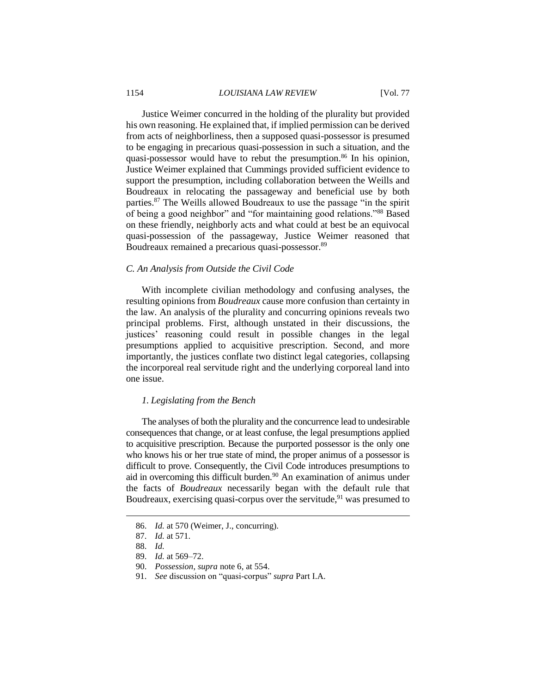#### 1154 *LOUISIANA LAW REVIEW* [Vol. 77

Justice Weimer concurred in the holding of the plurality but provided his own reasoning. He explained that, if implied permission can be derived from acts of neighborliness, then a supposed quasi-possessor is presumed to be engaging in precarious quasi-possession in such a situation, and the quasi-possessor would have to rebut the presumption. <sup>86</sup> In his opinion, Justice Weimer explained that Cummings provided sufficient evidence to support the presumption, including collaboration between the Weills and Boudreaux in relocating the passageway and beneficial use by both parties.<sup>87</sup> The Weills allowed Boudreaux to use the passage "in the spirit of being a good neighbor" and "for maintaining good relations."<sup>88</sup> Based on these friendly, neighborly acts and what could at best be an equivocal quasi-possession of the passageway, Justice Weimer reasoned that Boudreaux remained a precarious quasi-possessor.<sup>89</sup>

#### *C. An Analysis from Outside the Civil Code*

With incomplete civilian methodology and confusing analyses, the resulting opinions from *Boudreaux* cause more confusion than certainty in the law. An analysis of the plurality and concurring opinions reveals two principal problems. First, although unstated in their discussions, the justices' reasoning could result in possible changes in the legal presumptions applied to acquisitive prescription. Second, and more importantly, the justices conflate two distinct legal categories, collapsing the incorporeal real servitude right and the underlying corporeal land into one issue.

#### *1. Legislating from the Bench*

The analyses of both the plurality and the concurrence lead to undesirable consequences that change, or at least confuse, the legal presumptions applied to acquisitive prescription. Because the purported possessor is the only one who knows his or her true state of mind, the proper animus of a possessor is difficult to prove. Consequently, the Civil Code introduces presumptions to aid in overcoming this difficult burden. <sup>90</sup> An examination of animus under the facts of *Boudreaux* necessarily began with the default rule that Boudreaux, exercising quasi-corpus over the servitude, $91$  was presumed to

 $\overline{a}$ 

91. *See* discussion on "quasi-corpus" *supra* Part I.A.

<sup>86.</sup> *Id.* at 570 (Weimer, J., concurring).

<sup>87.</sup> *Id.* at 571.

<sup>88.</sup> *Id.*

<sup>89.</sup> *Id.* at 569–72.

<sup>90.</sup> *Possession*, *supra* note 6, at 554.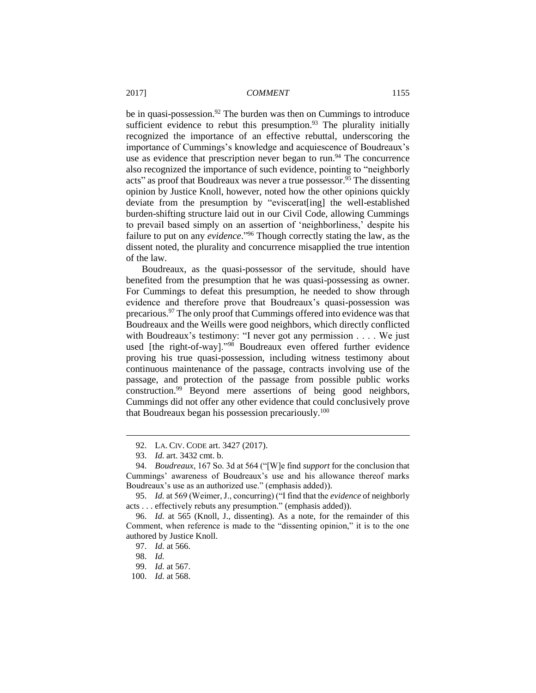be in quasi-possession.<sup>92</sup> The burden was then on Cummings to introduce sufficient evidence to rebut this presumption. $93$  The plurality initially recognized the importance of an effective rebuttal, underscoring the importance of Cummings's knowledge and acquiescence of Boudreaux's use as evidence that prescription never began to run.<sup>94</sup> The concurrence also recognized the importance of such evidence, pointing to "neighborly acts" as proof that Boudreaux was never a true possessor.<sup>95</sup> The dissenting opinion by Justice Knoll, however, noted how the other opinions quickly deviate from the presumption by "eviscerat[ing] the well-established burden-shifting structure laid out in our Civil Code, allowing Cummings to prevail based simply on an assertion of 'neighborliness,' despite his failure to put on any *evidence*." <sup>96</sup> Though correctly stating the law, as the dissent noted, the plurality and concurrence misapplied the true intention of the law.

Boudreaux, as the quasi-possessor of the servitude, should have benefited from the presumption that he was quasi-possessing as owner. For Cummings to defeat this presumption, he needed to show through evidence and therefore prove that Boudreaux's quasi-possession was precarious.<sup>97</sup> The only proof that Cummings offered into evidence was that Boudreaux and the Weills were good neighbors, which directly conflicted with Boudreaux's testimony: "I never got any permission . . . . We just used [the right-of-way]."<sup>98</sup> Boudreaux even offered further evidence proving his true quasi-possession, including witness testimony about continuous maintenance of the passage, contracts involving use of the passage, and protection of the passage from possible public works construction.<sup>99</sup> Beyond mere assertions of being good neighbors, Cummings did not offer any other evidence that could conclusively prove that Boudreaux began his possession precariously.<sup>100</sup>

<sup>92.</sup> LA. CIV. CODE art. 3427 (2017).

<sup>93.</sup> *Id.* art. 3432 cmt. b.

<sup>94.</sup> *Boudreaux*, 167 So. 3d at 564 ("[W]e find *support* for the conclusion that Cummings' awareness of Boudreaux's use and his allowance thereof marks Boudreaux's use as an authorized use." (emphasis added)).

<sup>95.</sup> *Id.* at 569 (Weimer, J., concurring) ("I find that the *evidence* of neighborly acts . . . effectively rebuts any presumption." (emphasis added)).

<sup>96.</sup> *Id.* at 565 (Knoll, J., dissenting). As a note, for the remainder of this Comment, when reference is made to the "dissenting opinion," it is to the one authored by Justice Knoll.

<sup>97.</sup> *Id.* at 566.

<sup>98.</sup> *Id.*

<sup>99.</sup> *Id.* at 567.

<sup>100.</sup> *Id.* at 568.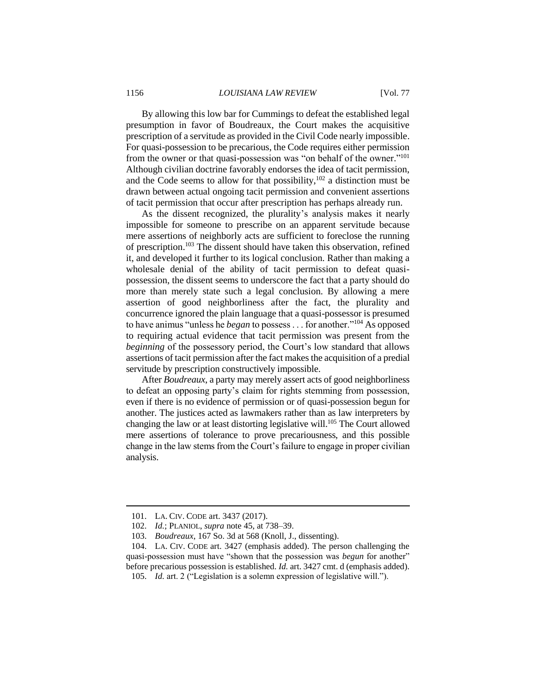By allowing this low bar for Cummings to defeat the established legal presumption in favor of Boudreaux, the Court makes the acquisitive prescription of a servitude as provided in the Civil Code nearly impossible. For quasi-possession to be precarious, the Code requires either permission from the owner or that quasi-possession was "on behalf of the owner."<sup>101</sup> Although civilian doctrine favorably endorses the idea of tacit permission, and the Code seems to allow for that possibility,  $102$  a distinction must be drawn between actual ongoing tacit permission and convenient assertions of tacit permission that occur after prescription has perhaps already run.

As the dissent recognized, the plurality's analysis makes it nearly impossible for someone to prescribe on an apparent servitude because mere assertions of neighborly acts are sufficient to foreclose the running of prescription. <sup>103</sup> The dissent should have taken this observation, refined it, and developed it further to its logical conclusion. Rather than making a wholesale denial of the ability of tacit permission to defeat quasipossession, the dissent seems to underscore the fact that a party should do more than merely state such a legal conclusion. By allowing a mere assertion of good neighborliness after the fact, the plurality and concurrence ignored the plain language that a quasi-possessor is presumed to have animus "unless he *began* to possess . . . for another."<sup>104</sup> As opposed to requiring actual evidence that tacit permission was present from the *beginning* of the possessory period, the Court's low standard that allows assertions of tacit permission after the fact makes the acquisition of a predial servitude by prescription constructively impossible.

After *Boudreaux*, a party may merely assert acts of good neighborliness to defeat an opposing party's claim for rights stemming from possession, even if there is no evidence of permission or of quasi-possession begun for another. The justices acted as lawmakers rather than as law interpreters by changing the law or at least distorting legislative will.<sup>105</sup> The Court allowed mere assertions of tolerance to prove precariousness, and this possible change in the law stems from the Court's failure to engage in proper civilian analysis.

<sup>101.</sup> LA. CIV. CODE art. 3437 (2017).

<sup>102.</sup> *Id.*; PLANIOL, *supra* note 45, at 738–39.

<sup>103.</sup> *Boudreaux*, 167 So. 3d at 568 (Knoll, J., dissenting).

<sup>104.</sup> LA. CIV. CODE art. 3427 (emphasis added). The person challenging the quasi-possession must have "shown that the possession was *begun* for another" before precarious possession is established. *Id.* art. 3427 cmt. d (emphasis added).

<sup>105.</sup> *Id.* art. 2 ("Legislation is a solemn expression of legislative will.").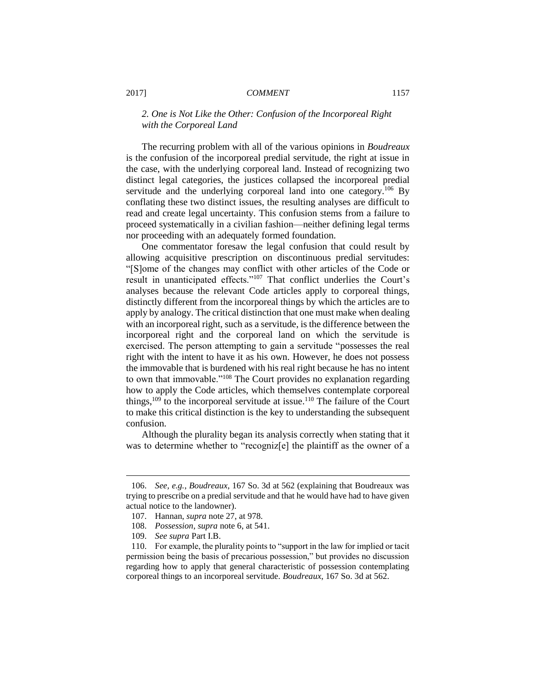### *2. One is Not Like the Other: Confusion of the Incorporeal Right with the Corporeal Land*

The recurring problem with all of the various opinions in *Boudreaux* is the confusion of the incorporeal predial servitude, the right at issue in the case, with the underlying corporeal land. Instead of recognizing two distinct legal categories, the justices collapsed the incorporeal predial servitude and the underlying corporeal land into one category.<sup>106</sup> By conflating these two distinct issues, the resulting analyses are difficult to read and create legal uncertainty. This confusion stems from a failure to proceed systematically in a civilian fashion—neither defining legal terms nor proceeding with an adequately formed foundation.

One commentator foresaw the legal confusion that could result by allowing acquisitive prescription on discontinuous predial servitudes: "[S]ome of the changes may conflict with other articles of the Code or result in unanticipated effects."<sup>107</sup> That conflict underlies the Court's analyses because the relevant Code articles apply to corporeal things, distinctly different from the incorporeal things by which the articles are to apply by analogy. The critical distinction that one must make when dealing with an incorporeal right, such as a servitude, is the difference between the incorporeal right and the corporeal land on which the servitude is exercised. The person attempting to gain a servitude "possesses the real right with the intent to have it as his own. However, he does not possess the immovable that is burdened with his real right because he has no intent to own that immovable."<sup>108</sup> The Court provides no explanation regarding how to apply the Code articles, which themselves contemplate corporeal things,<sup>109</sup> to the incorporeal servitude at issue.<sup>110</sup> The failure of the Court to make this critical distinction is the key to understanding the subsequent confusion.

Although the plurality began its analysis correctly when stating that it was to determine whether to "recogniz[e] the plaintiff as the owner of a

<sup>106.</sup> *See, e.g.*, *Boudreaux*, 167 So. 3d at 562 (explaining that Boudreaux was trying to prescribe on a predial servitude and that he would have had to have given actual notice to the landowner).

<sup>107.</sup> Hannan, *supra* note 27, at 978.

<sup>108.</sup> *Possession*, *supra* note 6, at 541.

<sup>109.</sup> *See supra* Part I.B.

<sup>110.</sup> For example, the plurality points to "support in the law for implied or tacit permission being the basis of precarious possession," but provides no discussion regarding how to apply that general characteristic of possession contemplating corporeal things to an incorporeal servitude. *Boudreaux*, 167 So. 3d at 562.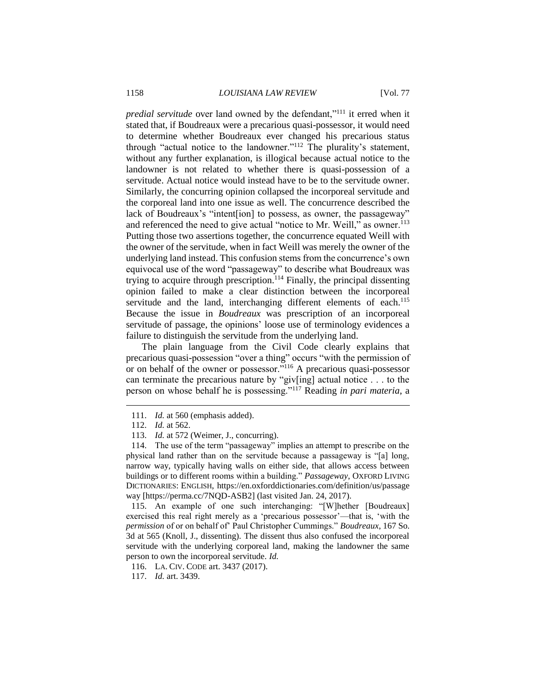*predial servitude* over land owned by the defendant,"<sup>111</sup> it erred when it stated that, if Boudreaux were a precarious quasi-possessor, it would need to determine whether Boudreaux ever changed his precarious status through "actual notice to the landowner."<sup>112</sup> The plurality's statement, without any further explanation, is illogical because actual notice to the landowner is not related to whether there is quasi-possession of a servitude. Actual notice would instead have to be to the servitude owner. Similarly, the concurring opinion collapsed the incorporeal servitude and the corporeal land into one issue as well. The concurrence described the lack of Boudreaux's "intent[ion] to possess, as owner, the passageway" and referenced the need to give actual "notice to Mr. Weill," as owner.<sup>113</sup> Putting those two assertions together, the concurrence equated Weill with the owner of the servitude, when in fact Weill was merely the owner of the underlying land instead. This confusion stems from the concurrence's own equivocal use of the word "passageway" to describe what Boudreaux was trying to acquire through prescription.<sup>114</sup> Finally, the principal dissenting opinion failed to make a clear distinction between the incorporeal servitude and the land, interchanging different elements of each.<sup>115</sup> Because the issue in *Boudreaux* was prescription of an incorporeal servitude of passage, the opinions' loose use of terminology evidences a failure to distinguish the servitude from the underlying land.

The plain language from the Civil Code clearly explains that precarious quasi-possession "over a thing" occurs "with the permission of or on behalf of the owner or possessor."<sup>116</sup> A precarious quasi-possessor can terminate the precarious nature by "giv[ing] actual notice . . . to the person on whose behalf he is possessing."<sup>117</sup> Reading *in pari materia*, a

 $\overline{a}$ 

115. An example of one such interchanging: "[W]hether [Boudreaux] exercised this real right merely as a 'precarious possessor'—that is, 'with the *permission* of or on behalf of' Paul Christopher Cummings." *Boudreaux*, 167 So. 3d at 565 (Knoll, J., dissenting). The dissent thus also confused the incorporeal servitude with the underlying corporeal land, making the landowner the same person to own the incorporeal servitude. *Id.*

<sup>111.</sup> *Id.* at 560 (emphasis added).

<sup>112.</sup> *Id.* at 562.

<sup>113.</sup> *Id.* at 572 (Weimer, J., concurring).

<sup>114.</sup> The use of the term "passageway" implies an attempt to prescribe on the physical land rather than on the servitude because a passageway is "[a] long, narrow way, typically having walls on either side, that allows access between buildings or to different rooms within a building." *Passageway*, OXFORD LIVING DICTIONARIES: ENGLISH, https://en.oxforddictionaries.com/definition/us/passage way [https://perma.cc/7NQD-ASB2] (last visited Jan. 24, 2017).

<sup>116.</sup> LA. CIV. CODE art. 3437 (2017).

<sup>117.</sup> *Id.* art. 3439.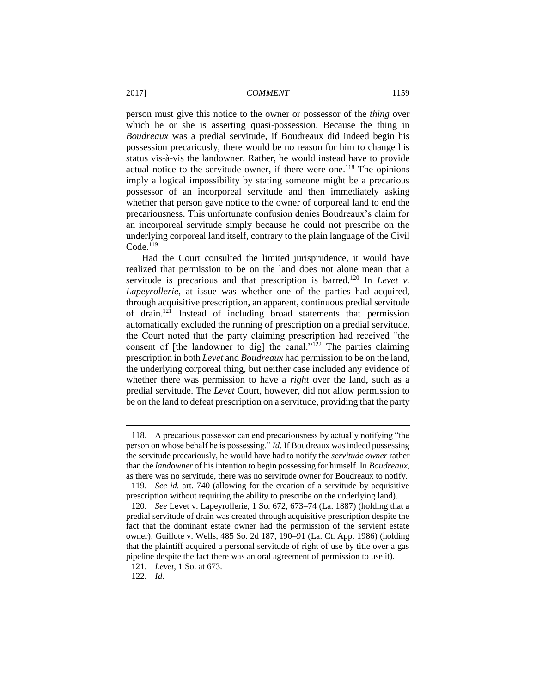person must give this notice to the owner or possessor of the *thing* over which he or she is asserting quasi-possession. Because the thing in *Boudreaux* was a predial servitude, if Boudreaux did indeed begin his possession precariously, there would be no reason for him to change his status vis-à-vis the landowner. Rather, he would instead have to provide actual notice to the servitude owner, if there were one. <sup>118</sup> The opinions imply a logical impossibility by stating someone might be a precarious possessor of an incorporeal servitude and then immediately asking whether that person gave notice to the owner of corporeal land to end the precariousness. This unfortunate confusion denies Boudreaux's claim for an incorporeal servitude simply because he could not prescribe on the underlying corporeal land itself, contrary to the plain language of the Civil  $Code<sup>119</sup>$ 

Had the Court consulted the limited jurisprudence, it would have realized that permission to be on the land does not alone mean that a servitude is precarious and that prescription is barred.<sup>120</sup> In *Levet v*. *Lapeyrollerie*, at issue was whether one of the parties had acquired, through acquisitive prescription, an apparent, continuous predial servitude of drain.<sup>121</sup> Instead of including broad statements that permission automatically excluded the running of prescription on a predial servitude, the Court noted that the party claiming prescription had received "the consent of [the landowner to dig] the canal."<sup>122</sup> The parties claiming prescription in both *Levet* and *Boudreaux* had permission to be on the land, the underlying corporeal thing, but neither case included any evidence of whether there was permission to have a *right* over the land, such as a predial servitude. The *Levet* Court, however, did not allow permission to be on the land to defeat prescription on a servitude, providing that the party

<sup>118.</sup> A precarious possessor can end precariousness by actually notifying "the person on whose behalf he is possessing." *Id.* If Boudreaux was indeed possessing the servitude precariously, he would have had to notify the *servitude owner* rather than the *landowner* of his intention to begin possessing for himself. In *Boudreaux*, as there was no servitude, there was no servitude owner for Boudreaux to notify.

<sup>119.</sup> *See id.* art. 740 (allowing for the creation of a servitude by acquisitive prescription without requiring the ability to prescribe on the underlying land).

<sup>120.</sup> *See* Levet v. Lapeyrollerie, 1 So. 672, 673–74 (La. 1887) (holding that a predial servitude of drain was created through acquisitive prescription despite the fact that the dominant estate owner had the permission of the servient estate owner); Guillote v. Wells, 485 So. 2d 187, 190–91 (La. Ct. App. 1986) (holding that the plaintiff acquired a personal servitude of right of use by title over a gas pipeline despite the fact there was an oral agreement of permission to use it).

<sup>121.</sup> *Levet*, 1 So. at 673.

<sup>122.</sup> *Id.*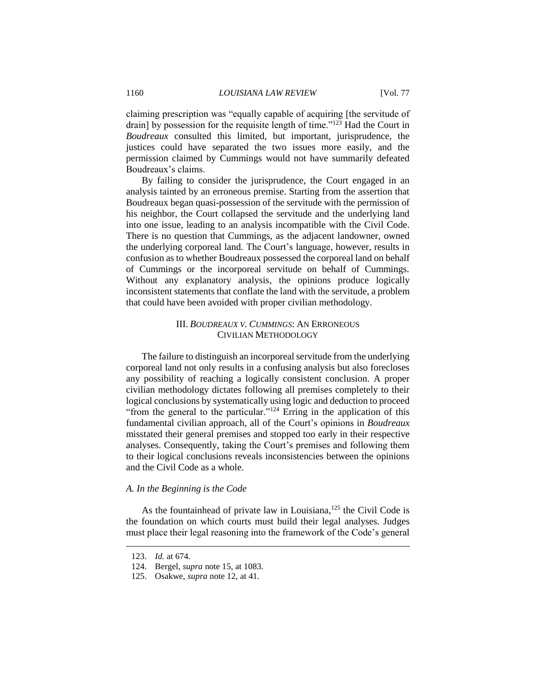claiming prescription was "equally capable of acquiring [the servitude of drain] by possession for the requisite length of time."<sup>123</sup> Had the Court in *Boudreaux* consulted this limited, but important, jurisprudence, the justices could have separated the two issues more easily, and the permission claimed by Cummings would not have summarily defeated Boudreaux's claims.

By failing to consider the jurisprudence, the Court engaged in an analysis tainted by an erroneous premise. Starting from the assertion that Boudreaux began quasi-possession of the servitude with the permission of his neighbor, the Court collapsed the servitude and the underlying land into one issue, leading to an analysis incompatible with the Civil Code. There is no question that Cummings, as the adjacent landowner, owned the underlying corporeal land. The Court's language, however, results in confusion as to whether Boudreaux possessed the corporeal land on behalf of Cummings or the incorporeal servitude on behalf of Cummings. Without any explanatory analysis, the opinions produce logically inconsistent statements that conflate the land with the servitude, a problem that could have been avoided with proper civilian methodology.

## III. *BOUDREAUX V. CUMMINGS*: AN ERRONEOUS CIVILIAN METHODOLOGY

The failure to distinguish an incorporeal servitude from the underlying corporeal land not only results in a confusing analysis but also forecloses any possibility of reaching a logically consistent conclusion. A proper civilian methodology dictates following all premises completely to their logical conclusions by systematically using logic and deduction to proceed "from the general to the particular."<sup>124</sup> Erring in the application of this fundamental civilian approach, all of the Court's opinions in *Boudreaux* misstated their general premises and stopped too early in their respective analyses. Consequently, taking the Court's premises and following them to their logical conclusions reveals inconsistencies between the opinions and the Civil Code as a whole.

#### *A. In the Beginning is the Code*

As the fountainhead of private law in Louisiana,<sup>125</sup> the Civil Code is the foundation on which courts must build their legal analyses. Judges must place their legal reasoning into the framework of the Code's general

<sup>123.</sup> *Id.* at 674.

<sup>124.</sup> Bergel, *supra* note 15, at 1083.

<sup>125.</sup> Osakwe, *supra* note 12, at 41.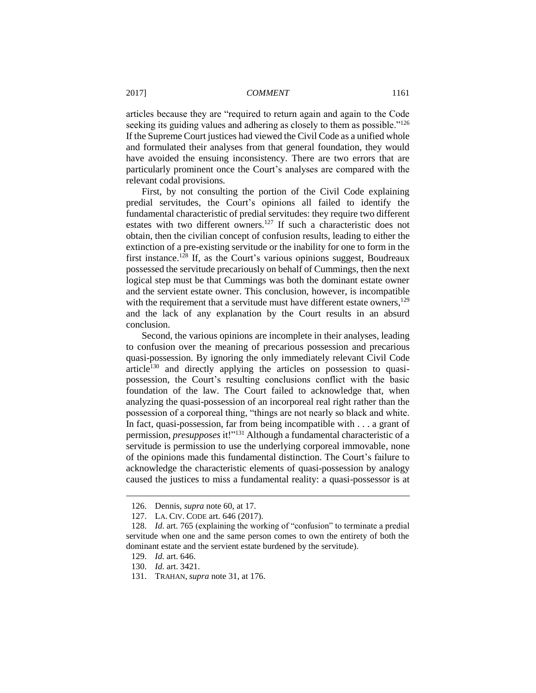articles because they are "required to return again and again to the Code seeking its guiding values and adhering as closely to them as possible."<sup>126</sup> If the Supreme Court justices had viewed the Civil Code as a unified whole and formulated their analyses from that general foundation, they would have avoided the ensuing inconsistency. There are two errors that are particularly prominent once the Court's analyses are compared with the relevant codal provisions.

First, by not consulting the portion of the Civil Code explaining predial servitudes, the Court's opinions all failed to identify the fundamental characteristic of predial servitudes: they require two different estates with two different owners*.* <sup>127</sup> If such a characteristic does not obtain, then the civilian concept of confusion results, leading to either the extinction of a pre-existing servitude or the inability for one to form in the first instance.<sup>128</sup> If, as the Court's various opinions suggest, Boudreaux possessed the servitude precariously on behalf of Cummings, then the next logical step must be that Cummings was both the dominant estate owner and the servient estate owner. This conclusion, however, is incompatible with the requirement that a servitude must have different estate owners,<sup>129</sup> and the lack of any explanation by the Court results in an absurd conclusion.

Second, the various opinions are incomplete in their analyses, leading to confusion over the meaning of precarious possession and precarious quasi-possession. By ignoring the only immediately relevant Civil Code article<sup>130</sup> and directly applying the articles on possession to quasipossession, the Court's resulting conclusions conflict with the basic foundation of the law. The Court failed to acknowledge that, when analyzing the quasi-possession of an incorporeal real right rather than the possession of a corporeal thing, "things are not nearly so black and white. In fact, quasi-possession, far from being incompatible with . . . a grant of permission, *presupposes* it!"<sup>131</sup> Although a fundamental characteristic of a servitude is permission to use the underlying corporeal immovable, none of the opinions made this fundamental distinction. The Court's failure to acknowledge the characteristic elements of quasi-possession by analogy caused the justices to miss a fundamental reality: a quasi-possessor is at

<sup>126.</sup> Dennis, *supra* note 60, at 17.

<sup>127.</sup> LA. CIV. CODE art. 646 (2017).

<sup>128.</sup> *Id.* art. 765 (explaining the working of "confusion" to terminate a predial servitude when one and the same person comes to own the entirety of both the dominant estate and the servient estate burdened by the servitude).

<sup>129.</sup> *Id.* art. 646.

<sup>130.</sup> *Id.* art. 3421.

<sup>131.</sup> TRAHAN, *supra* note 31, at 176.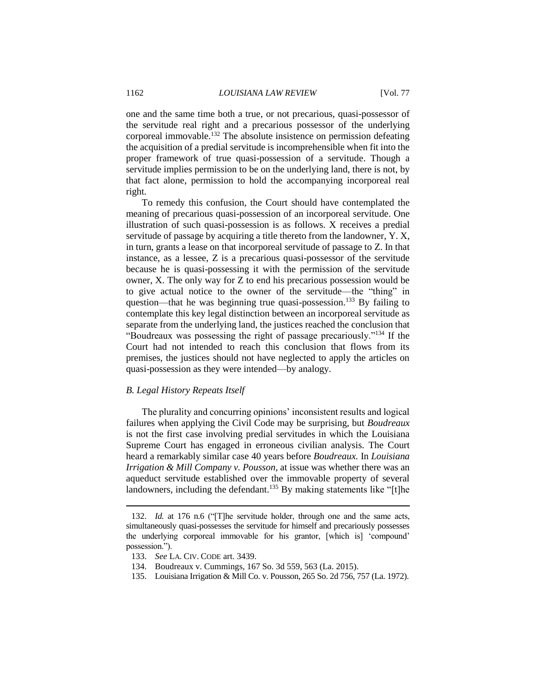one and the same time both a true, or not precarious, quasi-possessor of the servitude real right and a precarious possessor of the underlying corporeal immovable.<sup>132</sup> The absolute insistence on permission defeating the acquisition of a predial servitude is incomprehensible when fit into the proper framework of true quasi-possession of a servitude. Though a servitude implies permission to be on the underlying land, there is not, by that fact alone, permission to hold the accompanying incorporeal real right*.*

To remedy this confusion, the Court should have contemplated the meaning of precarious quasi-possession of an incorporeal servitude. One illustration of such quasi-possession is as follows. X receives a predial servitude of passage by acquiring a title thereto from the landowner, Y. X, in turn, grants a lease on that incorporeal servitude of passage to Z. In that instance, as a lessee, Z is a precarious quasi-possessor of the servitude because he is quasi-possessing it with the permission of the servitude owner, X. The only way for Z to end his precarious possession would be to give actual notice to the owner of the servitude—the "thing" in question—that he was beginning true quasi-possession.<sup>133</sup> By failing to contemplate this key legal distinction between an incorporeal servitude as separate from the underlying land, the justices reached the conclusion that "Boudreaux was possessing the right of passage precariously."<sup>134</sup> If the Court had not intended to reach this conclusion that flows from its premises, the justices should not have neglected to apply the articles on quasi-possession as they were intended—by analogy.

#### *B. Legal History Repeats Itself*

The plurality and concurring opinions' inconsistent results and logical failures when applying the Civil Code may be surprising, but *Boudreaux* is not the first case involving predial servitudes in which the Louisiana Supreme Court has engaged in erroneous civilian analysis. The Court heard a remarkably similar case 40 years before *Boudreaux.* In *Louisiana Irrigation & Mill Company v. Pousson*, at issue was whether there was an aqueduct servitude established over the immovable property of several landowners, including the defendant.<sup>135</sup> By making statements like "[t]he

<sup>132.</sup> *Id.* at 176 n.6 ("[T]he servitude holder, through one and the same acts, simultaneously quasi-possesses the servitude for himself and precariously possesses the underlying corporeal immovable for his grantor, [which is] 'compound' possession.").

<sup>133.</sup> *See* LA. CIV. CODE art. 3439.

<sup>134.</sup> Boudreaux v. Cummings, 167 So. 3d 559, 563 (La. 2015).

<sup>135.</sup> Louisiana Irrigation & Mill Co. v. Pousson, 265 So. 2d 756, 757 (La. 1972).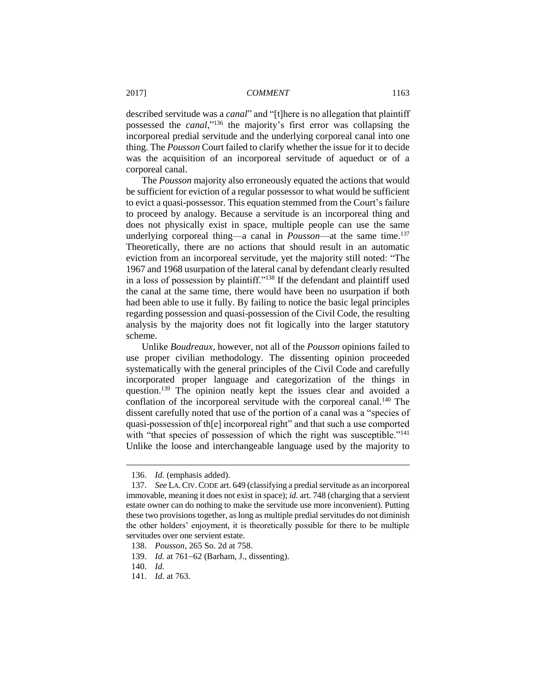described servitude was a *canal*" and "[t]here is no allegation that plaintiff possessed the *canal*,"<sup>136</sup> the majority's first error was collapsing the incorporeal predial servitude and the underlying corporeal canal into one thing. The *Pousson* Court failed to clarify whether the issue for it to decide was the acquisition of an incorporeal servitude of aqueduct or of a corporeal canal.

The *Pousson* majority also erroneously equated the actions that would be sufficient for eviction of a regular possessor to what would be sufficient to evict a quasi-possessor. This equation stemmed from the Court's failure to proceed by analogy. Because a servitude is an incorporeal thing and does not physically exist in space, multiple people can use the same underlying corporeal thing—a canal in *Pousson*—at the same time.<sup>137</sup> Theoretically, there are no actions that should result in an automatic eviction from an incorporeal servitude, yet the majority still noted: "The 1967 and 1968 usurpation of the lateral canal by defendant clearly resulted in a loss of possession by plaintiff."<sup>138</sup> If the defendant and plaintiff used the canal at the same time, there would have been no usurpation if both had been able to use it fully. By failing to notice the basic legal principles regarding possession and quasi-possession of the Civil Code, the resulting analysis by the majority does not fit logically into the larger statutory scheme.

Unlike *Boudreaux*, however, not all of the *Pousson* opinions failed to use proper civilian methodology. The dissenting opinion proceeded systematically with the general principles of the Civil Code and carefully incorporated proper language and categorization of the things in question.<sup>139</sup> The opinion neatly kept the issues clear and avoided a conflation of the incorporeal servitude with the corporeal canal.<sup>140</sup> The dissent carefully noted that use of the portion of a canal was a "species of quasi-possession of th[e] incorporeal right" and that such a use comported with "that species of possession of which the right was susceptible."<sup>141</sup> Unlike the loose and interchangeable language used by the majority to

<sup>136.</sup> *Id.* (emphasis added).

<sup>137.</sup> *See* LA.CIV.CODE art. 649 (classifying a predial servitude as an incorporeal immovable, meaning it does not exist in space); *id.* art. 748 (charging that a servient estate owner can do nothing to make the servitude use more inconvenient). Putting these two provisions together, as long as multiple predial servitudes do not diminish the other holders' enjoyment, it is theoretically possible for there to be multiple servitudes over one servient estate.

<sup>138.</sup> *Pousson*, 265 So. 2d at 758.

<sup>139.</sup> *Id.* at 761–62 (Barham, J., dissenting).

<sup>140.</sup> *Id.*

<sup>141.</sup> *Id.* at 763.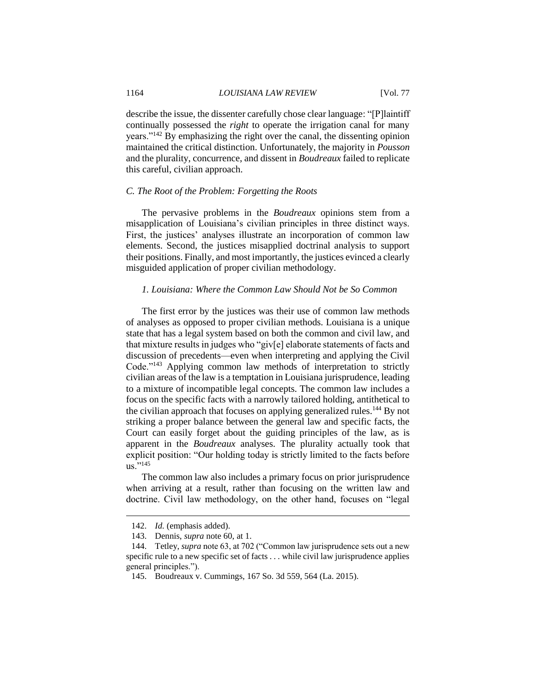describe the issue, the dissenter carefully chose clear language: "[P]laintiff continually possessed the *right* to operate the irrigation canal for many years."<sup>142</sup> By emphasizing the right over the canal, the dissenting opinion maintained the critical distinction. Unfortunately, the majority in *Pousson* and the plurality, concurrence, and dissent in *Boudreaux* failed to replicate this careful, civilian approach.

#### *C. The Root of the Problem: Forgetting the Roots*

The pervasive problems in the *Boudreaux* opinions stem from a misapplication of Louisiana's civilian principles in three distinct ways. First, the justices' analyses illustrate an incorporation of common law elements. Second, the justices misapplied doctrinal analysis to support their positions. Finally, and most importantly, the justices evinced a clearly misguided application of proper civilian methodology.

#### *1. Louisiana: Where the Common Law Should Not be So Common*

The first error by the justices was their use of common law methods of analyses as opposed to proper civilian methods. Louisiana is a unique state that has a legal system based on both the common and civil law, and that mixture results in judges who "giv[e] elaborate statements of facts and discussion of precedents—even when interpreting and applying the Civil Code."<sup>143</sup> Applying common law methods of interpretation to strictly civilian areas of the law is a temptation in Louisiana jurisprudence, leading to a mixture of incompatible legal concepts. The common law includes a focus on the specific facts with a narrowly tailored holding, antithetical to the civilian approach that focuses on applying generalized rules.<sup>144</sup> By not striking a proper balance between the general law and specific facts, the Court can easily forget about the guiding principles of the law, as is apparent in the *Boudreaux* analyses. The plurality actually took that explicit position: "Our holding today is strictly limited to the facts before  $\overline{us}$ ."145

The common law also includes a primary focus on prior jurisprudence when arriving at a result, rather than focusing on the written law and doctrine. Civil law methodology, on the other hand, focuses on "legal

<sup>142.</sup> *Id.* (emphasis added).

<sup>143.</sup> Dennis, *supra* note 60, at 1.

<sup>144.</sup> Tetley, *supra* note 63, at 702 ("Common law jurisprudence sets out a new specific rule to a new specific set of facts . . . while civil law jurisprudence applies general principles.").

<sup>145.</sup> Boudreaux v. Cummings, 167 So. 3d 559, 564 (La. 2015).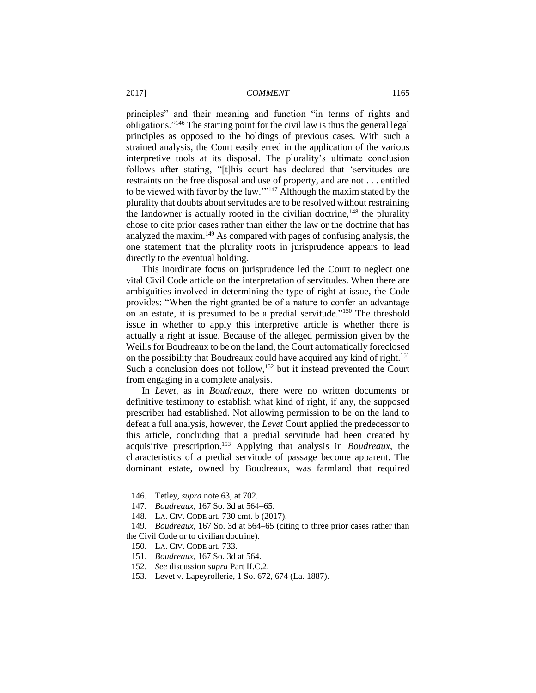principles" and their meaning and function "in terms of rights and obligations."<sup>146</sup> The starting point for the civil law is thus the general legal principles as opposed to the holdings of previous cases. With such a strained analysis, the Court easily erred in the application of the various interpretive tools at its disposal. The plurality's ultimate conclusion follows after stating, "[t]his court has declared that 'servitudes are restraints on the free disposal and use of property, and are not . . . entitled to be viewed with favor by the law.'"<sup>147</sup> Although the maxim stated by the plurality that doubts about servitudes are to be resolved without restraining the landowner is actually rooted in the civilian doctrine, $148$  the plurality chose to cite prior cases rather than either the law or the doctrine that has analyzed the maxim. <sup>149</sup> As compared with pages of confusing analysis, the one statement that the plurality roots in jurisprudence appears to lead directly to the eventual holding.

This inordinate focus on jurisprudence led the Court to neglect one vital Civil Code article on the interpretation of servitudes. When there are ambiguities involved in determining the type of right at issue, the Code provides: "When the right granted be of a nature to confer an advantage on an estate, it is presumed to be a predial servitude."<sup>150</sup> The threshold issue in whether to apply this interpretive article is whether there is actually a right at issue. Because of the alleged permission given by the Weills for Boudreaux to be on the land, the Court automatically foreclosed on the possibility that Boudreaux could have acquired any kind of right.<sup>151</sup> Such a conclusion does not follow,  $152$  but it instead prevented the Court from engaging in a complete analysis.

In *Levet*, as in *Boudreaux*, there were no written documents or definitive testimony to establish what kind of right, if any, the supposed prescriber had established. Not allowing permission to be on the land to defeat a full analysis, however, the *Levet* Court applied the predecessor to this article, concluding that a predial servitude had been created by acquisitive prescription.<sup>153</sup> Applying that analysis in *Boudreaux*, the characteristics of a predial servitude of passage become apparent. The dominant estate, owned by Boudreaux, was farmland that required

<sup>146.</sup> Tetley, *supra* note 63, at 702.

<sup>147.</sup> *Boudreaux*, 167 So. 3d at 564–65.

<sup>148.</sup> LA. CIV. CODE art. 730 cmt. b (2017).

<sup>149.</sup> *Boudreaux*, 167 So. 3d at 564–65 (citing to three prior cases rather than the Civil Code or to civilian doctrine).

<sup>150.</sup> LA. CIV. CODE art. 733.

<sup>151.</sup> *Boudreaux*, 167 So. 3d at 564.

<sup>152.</sup> *See* discussion *supra* Part II.C.2.

<sup>153.</sup> Levet v. Lapeyrollerie, 1 So. 672, 674 (La. 1887).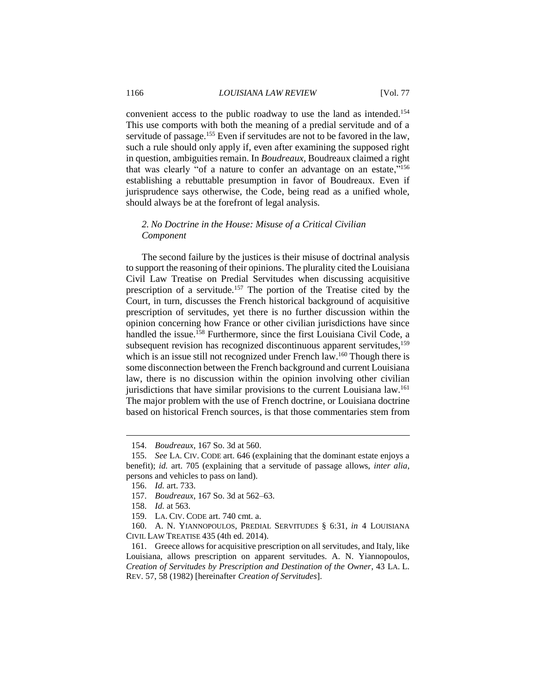convenient access to the public roadway to use the land as intended.<sup>154</sup> This use comports with both the meaning of a predial servitude and of a servitude of passage.<sup>155</sup> Even if servitudes are not to be favored in the law, such a rule should only apply if, even after examining the supposed right in question, ambiguities remain. In *Boudreaux*, Boudreaux claimed a right that was clearly "of a nature to confer an advantage on an estate,"<sup>156</sup> establishing a rebuttable presumption in favor of Boudreaux. Even if jurisprudence says otherwise, the Code, being read as a unified whole, should always be at the forefront of legal analysis.

#### *2. No Doctrine in the House: Misuse of a Critical Civilian Component*

The second failure by the justices is their misuse of doctrinal analysis to support the reasoning of their opinions. The plurality cited the Louisiana Civil Law Treatise on Predial Servitudes when discussing acquisitive prescription of a servitude.<sup>157</sup> The portion of the Treatise cited by the Court, in turn, discusses the French historical background of acquisitive prescription of servitudes, yet there is no further discussion within the opinion concerning how France or other civilian jurisdictions have since handled the issue.<sup>158</sup> Furthermore, since the first Louisiana Civil Code, a subsequent revision has recognized discontinuous apparent servitudes,<sup>159</sup> which is an issue still not recognized under French law.<sup>160</sup> Though there is some disconnection between the French background and current Louisiana law, there is no discussion within the opinion involving other civilian jurisdictions that have similar provisions to the current Louisiana law.<sup>161</sup> The major problem with the use of French doctrine, or Louisiana doctrine based on historical French sources, is that those commentaries stem from

<sup>154.</sup> *Boudreaux*, 167 So. 3d at 560.

<sup>155.</sup> *See* LA. CIV. CODE art. 646 (explaining that the dominant estate enjoys a benefit); *id.* art. 705 (explaining that a servitude of passage allows, *inter alia*, persons and vehicles to pass on land).

<sup>156.</sup> *Id.* art. 733.

<sup>157.</sup> *Boudreaux*, 167 So. 3d at 562–63.

<sup>158.</sup> *Id.* at 563.

<sup>159.</sup> LA. CIV. CODE art. 740 cmt. a.

<sup>160.</sup> A. N. YIANNOPOULOS, PREDIAL SERVITUDES § 6:31, *in* 4 LOUISIANA CIVIL LAW TREATISE 435 (4th ed. 2014).

<sup>161.</sup> Greece allows for acquisitive prescription on all servitudes, and Italy, like Louisiana, allows prescription on apparent servitudes. A. N. Yiannopoulos, *Creation of Servitudes by Prescription and Destination of the Owner*, 43 LA. L. REV. 57, 58 (1982) [hereinafter *Creation of Servitudes*].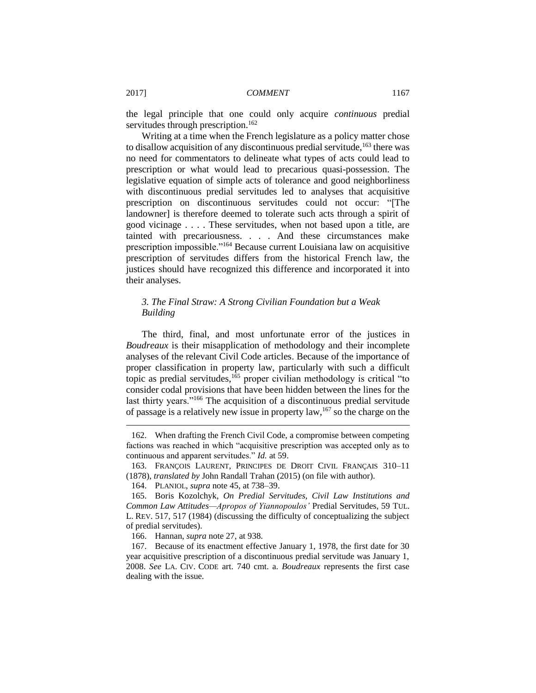the legal principle that one could only acquire *continuous* predial servitudes through prescription.<sup>162</sup>

Writing at a time when the French legislature as a policy matter chose to disallow acquisition of any discontinuous predial servitude,<sup>163</sup> there was no need for commentators to delineate what types of acts could lead to prescription or what would lead to precarious quasi-possession. The legislative equation of simple acts of tolerance and good neighborliness with discontinuous predial servitudes led to analyses that acquisitive prescription on discontinuous servitudes could not occur: "[The landowner] is therefore deemed to tolerate such acts through a spirit of good vicinage . . . . These servitudes, when not based upon a title, are tainted with precariousness. . . . And these circumstances make prescription impossible."<sup>164</sup> Because current Louisiana law on acquisitive prescription of servitudes differs from the historical French law, the justices should have recognized this difference and incorporated it into their analyses.

### *3. The Final Straw: A Strong Civilian Foundation but a Weak Building*

The third, final, and most unfortunate error of the justices in *Boudreaux* is their misapplication of methodology and their incomplete analyses of the relevant Civil Code articles. Because of the importance of proper classification in property law, particularly with such a difficult topic as predial servitudes,<sup>165</sup> proper civilian methodology is critical "to consider codal provisions that have been hidden between the lines for the last thirty years."<sup>166</sup> The acquisition of a discontinuous predial servitude of passage is a relatively new issue in property  $law$ ,  $167$  so the charge on the

<sup>162.</sup> When drafting the French Civil Code, a compromise between competing factions was reached in which "acquisitive prescription was accepted only as to continuous and apparent servitudes." *Id.* at 59.

<sup>163.</sup> FRANÇOIS LAURENT, PRINCIPES DE DROIT CIVIL FRANÇAIS 310–11 (1878), *translated by* John Randall Trahan (2015) (on file with author).

<sup>164.</sup> PLANIOL, *supra* note 45, at 738–39.

<sup>165.</sup> Boris Kozolchyk, *On Predial Servitudes, Civil Law Institutions and Common Law Attitudes—Apropos of Yiannopoulos'* Predial Servitudes, 59 TUL. L. REV. 517, 517 (1984) (discussing the difficulty of conceptualizing the subject of predial servitudes).

<sup>166.</sup> Hannan, *supra* note 27, at 938.

<sup>167.</sup> Because of its enactment effective January 1, 1978, the first date for 30 year acquisitive prescription of a discontinuous predial servitude was January 1, 2008. *See* LA. CIV. CODE art. 740 cmt. a. *Boudreaux* represents the first case dealing with the issue.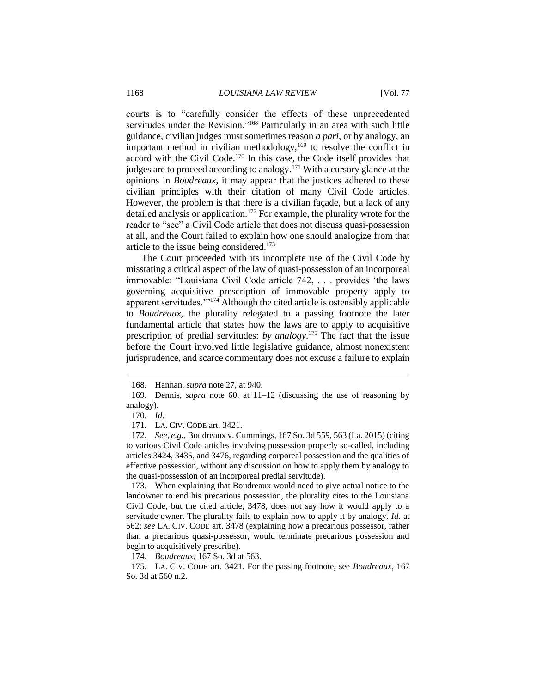courts is to "carefully consider the effects of these unprecedented servitudes under the Revision."<sup>168</sup> Particularly in an area with such little guidance, civilian judges must sometimes reason *a pari*, or by analogy, an important method in civilian methodology, $169$  to resolve the conflict in accord with the Civil Code.<sup>170</sup> In this case, the Code itself provides that judges are to proceed according to analogy.<sup>171</sup> With a cursory glance at the opinions in *Boudreaux*, it may appear that the justices adhered to these civilian principles with their citation of many Civil Code articles. However, the problem is that there is a civilian façade, but a lack of any detailed analysis or application.<sup>172</sup> For example, the plurality wrote for the reader to "see" a Civil Code article that does not discuss quasi-possession at all, and the Court failed to explain how one should analogize from that article to the issue being considered. 173

The Court proceeded with its incomplete use of the Civil Code by misstating a critical aspect of the law of quasi-possession of an incorporeal immovable: "Louisiana Civil Code article 742, . . . provides 'the laws governing acquisitive prescription of immovable property apply to apparent servitudes.'"<sup>174</sup> Although the cited article is ostensibly applicable to *Boudreaux*, the plurality relegated to a passing footnote the later fundamental article that states how the laws are to apply to acquisitive prescription of predial servitudes: *by analogy*. <sup>175</sup> The fact that the issue before the Court involved little legislative guidance, almost nonexistent jurisprudence, and scarce commentary does not excuse a failure to explain

 $\overline{a}$ 

174. *Boudreaux*, 167 So. 3d at 563.

<sup>168.</sup> Hannan, *supra* note 27, at 940.

<sup>169.</sup> Dennis, *supra* note 60, at 11–12 (discussing the use of reasoning by analogy).

<sup>170.</sup> *Id.*

<sup>171.</sup> LA. CIV. CODE art. 3421.

<sup>172.</sup> *See, e.g.*, Boudreaux v. Cummings, 167 So. 3d 559, 563 (La. 2015) (citing to various Civil Code articles involving possession properly so-called, including articles 3424, 3435, and 3476, regarding corporeal possession and the qualities of effective possession, without any discussion on how to apply them by analogy to the quasi-possession of an incorporeal predial servitude).

<sup>173.</sup> When explaining that Boudreaux would need to give actual notice to the landowner to end his precarious possession, the plurality cites to the Louisiana Civil Code, but the cited article, 3478, does not say how it would apply to a servitude owner. The plurality fails to explain how to apply it by analogy. *Id.* at 562; *see* LA. CIV. CODE art. 3478 (explaining how a precarious possessor, rather than a precarious quasi-possessor, would terminate precarious possession and begin to acquisitively prescribe).

<sup>175.</sup> LA. CIV. CODE art. 3421. For the passing footnote, see *Boudreaux*, 167 So. 3d at 560 n.2.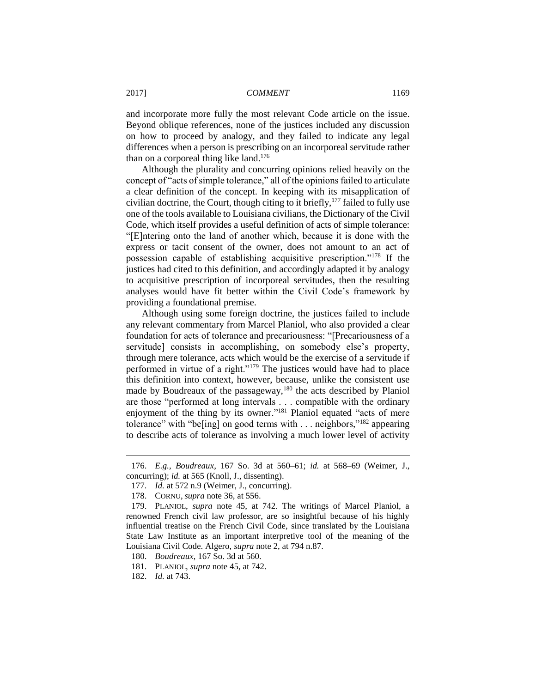and incorporate more fully the most relevant Code article on the issue. Beyond oblique references, none of the justices included any discussion on how to proceed by analogy, and they failed to indicate any legal differences when a person is prescribing on an incorporeal servitude rather than on a corporeal thing like land.<sup>176</sup>

Although the plurality and concurring opinions relied heavily on the concept of "acts of simple tolerance," all of the opinions failed to articulate a clear definition of the concept. In keeping with its misapplication of civilian doctrine, the Court, though citing to it briefly,  $177$  failed to fully use one of the tools available to Louisiana civilians, the Dictionary of the Civil Code, which itself provides a useful definition of acts of simple tolerance: "[E]ntering onto the land of another which, because it is done with the express or tacit consent of the owner, does not amount to an act of possession capable of establishing acquisitive prescription."<sup>178</sup> If the justices had cited to this definition, and accordingly adapted it by analogy to acquisitive prescription of incorporeal servitudes, then the resulting analyses would have fit better within the Civil Code's framework by providing a foundational premise.

Although using some foreign doctrine, the justices failed to include any relevant commentary from Marcel Planiol, who also provided a clear foundation for acts of tolerance and precariousness: "[Precariousness of a servitude] consists in accomplishing, on somebody else's property, through mere tolerance, acts which would be the exercise of a servitude if performed in virtue of a right."<sup>179</sup> The justices would have had to place this definition into context, however, because, unlike the consistent use made by Boudreaux of the passageway,<sup>180</sup> the acts described by Planiol are those "performed at long intervals . . . compatible with the ordinary enjoyment of the thing by its owner."<sup>181</sup> Planiol equated "acts of mere tolerance" with "be[ing] on good terms with . . . neighbors,"<sup>182</sup> appearing to describe acts of tolerance as involving a much lower level of activity

<sup>176.</sup> *E.g.*, *Boudreaux*, 167 So. 3d at 560–61; *id.* at 568–69 (Weimer, J., concurring); *id.* at 565 (Knoll, J., dissenting).

<sup>177.</sup> *Id.* at 572 n.9 (Weimer, J., concurring).

<sup>178.</sup> CORNU, *supra* note 36, at 556.

<sup>179.</sup> PLANIOL, *supra* note 45, at 742. The writings of Marcel Planiol, a renowned French civil law professor, are so insightful because of his highly influential treatise on the French Civil Code, since translated by the Louisiana State Law Institute as an important interpretive tool of the meaning of the Louisiana Civil Code. Algero, *supra* note 2, at 794 n.87.

<sup>180.</sup> *Boudreaux*, 167 So. 3d at 560.

<sup>181.</sup> PLANIOL, *supra* note 45, at 742.

<sup>182.</sup> *Id.* at 743.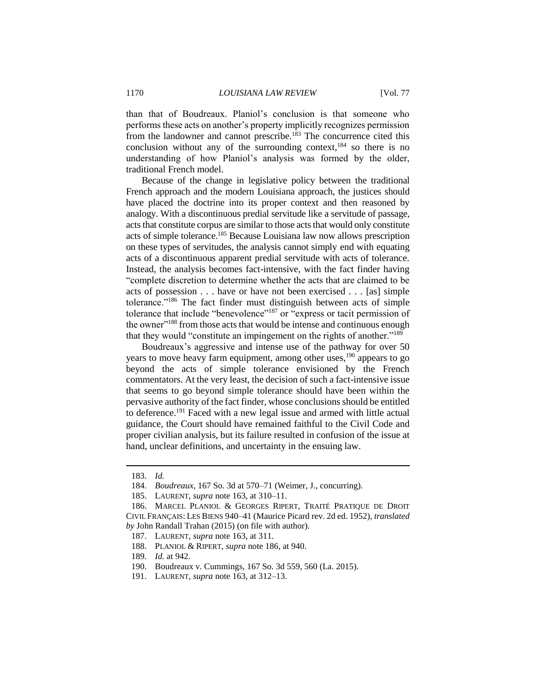than that of Boudreaux. Planiol's conclusion is that someone who performs these acts on another's property implicitly recognizes permission from the landowner and cannot prescribe.<sup>183</sup> The concurrence cited this conclusion without any of the surrounding context, $184$  so there is no understanding of how Planiol's analysis was formed by the older, traditional French model.

Because of the change in legislative policy between the traditional French approach and the modern Louisiana approach, the justices should have placed the doctrine into its proper context and then reasoned by analogy. With a discontinuous predial servitude like a servitude of passage, acts that constitute corpus are similar to those acts that would only constitute acts of simple tolerance.<sup>185</sup> Because Louisiana law now allows prescription on these types of servitudes, the analysis cannot simply end with equating acts of a discontinuous apparent predial servitude with acts of tolerance. Instead, the analysis becomes fact-intensive, with the fact finder having "complete discretion to determine whether the acts that are claimed to be acts of possession . . . have or have not been exercised . . . [as] simple tolerance."<sup>186</sup> The fact finder must distinguish between acts of simple tolerance that include "benevolence"<sup>187</sup> or "express or tacit permission of the owner"<sup>188</sup> from those acts that would be intense and continuous enough that they would "constitute an impingement on the rights of another."<sup>189</sup>

Boudreaux's aggressive and intense use of the pathway for over 50 years to move heavy farm equipment, among other uses,<sup>190</sup> appears to go beyond the acts of simple tolerance envisioned by the French commentators. At the very least, the decision of such a fact-intensive issue that seems to go beyond simple tolerance should have been within the pervasive authority of the fact finder, whose conclusions should be entitled to deference.<sup>191</sup> Faced with a new legal issue and armed with little actual guidance, the Court should have remained faithful to the Civil Code and proper civilian analysis, but its failure resulted in confusion of the issue at hand, unclear definitions, and uncertainty in the ensuing law.

<sup>183.</sup> *Id.*

<sup>184.</sup> *Boudreaux*, 167 So. 3d at 570–71 (Weimer, J., concurring).

<sup>185.</sup> LAURENT, *supra* note 163, at 310–11.

<sup>186.</sup> MARCEL PLANIOL & GEORGES RIPERT, TRAITÉ PRATIQUE DE DROIT CIVIL FRANÇAIS: LES BIENS 940–41 (Maurice Picard rev. 2d ed. 1952), *translated by* John Randall Trahan (2015) (on file with author).

<sup>187.</sup> LAURENT, *supra* note 163, at 311.

<sup>188.</sup> PLANIOL & RIPERT, *supra* note 186, at 940.

<sup>189.</sup> *Id.* at 942.

<sup>190.</sup> Boudreaux v. Cummings, 167 So. 3d 559, 560 (La. 2015).

<sup>191.</sup> LAURENT, *supra* note 163, at 312–13.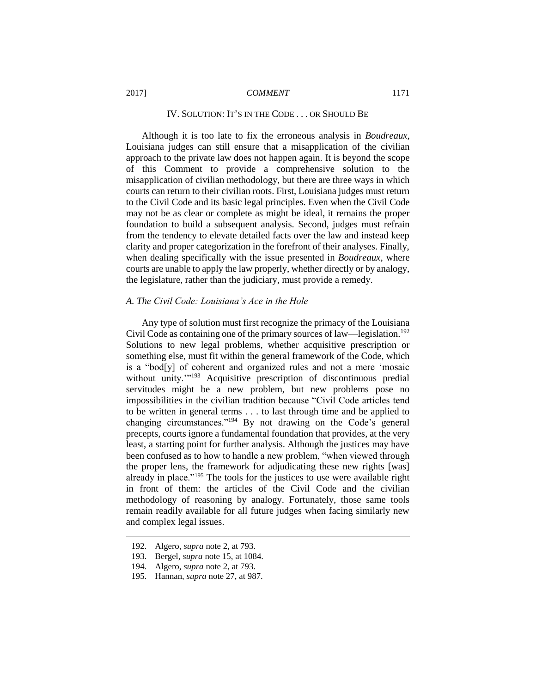## IV. SOLUTION: IT'S IN THE CODE . . . OR SHOULD BE

Although it is too late to fix the erroneous analysis in *Boudreaux*, Louisiana judges can still ensure that a misapplication of the civilian approach to the private law does not happen again. It is beyond the scope of this Comment to provide a comprehensive solution to the misapplication of civilian methodology, but there are three ways in which courts can return to their civilian roots. First, Louisiana judges must return to the Civil Code and its basic legal principles. Even when the Civil Code may not be as clear or complete as might be ideal, it remains the proper foundation to build a subsequent analysis. Second, judges must refrain from the tendency to elevate detailed facts over the law and instead keep clarity and proper categorization in the forefront of their analyses. Finally, when dealing specifically with the issue presented in *Boudreaux*, where courts are unable to apply the law properly, whether directly or by analogy, the legislature, rather than the judiciary, must provide a remedy.

#### *A. The Civil Code: Louisiana's Ace in the Hole*

Any type of solution must first recognize the primacy of the Louisiana Civil Code as containing one of the primary sources of law—legislation.<sup>192</sup> Solutions to new legal problems, whether acquisitive prescription or something else, must fit within the general framework of the Code, which is a "bod[y] of coherent and organized rules and not a mere 'mosaic without unity."<sup>193</sup> Acquisitive prescription of discontinuous predial servitudes might be a new problem, but new problems pose no impossibilities in the civilian tradition because "Civil Code articles tend to be written in general terms . . . to last through time and be applied to changing circumstances."<sup>194</sup> By not drawing on the Code's general precepts, courts ignore a fundamental foundation that provides, at the very least, a starting point for further analysis. Although the justices may have been confused as to how to handle a new problem, "when viewed through the proper lens, the framework for adjudicating these new rights [was] already in place."<sup>195</sup> The tools for the justices to use were available right in front of them: the articles of the Civil Code and the civilian methodology of reasoning by analogy. Fortunately, those same tools remain readily available for all future judges when facing similarly new and complex legal issues.

<sup>192.</sup> Algero, *supra* note 2, at 793.

<sup>193.</sup> Bergel, *supra* note 15, at 1084.

<sup>194.</sup> Algero, *supra* note 2, at 793.

<sup>195.</sup> Hannan, *supra* note 27, at 987.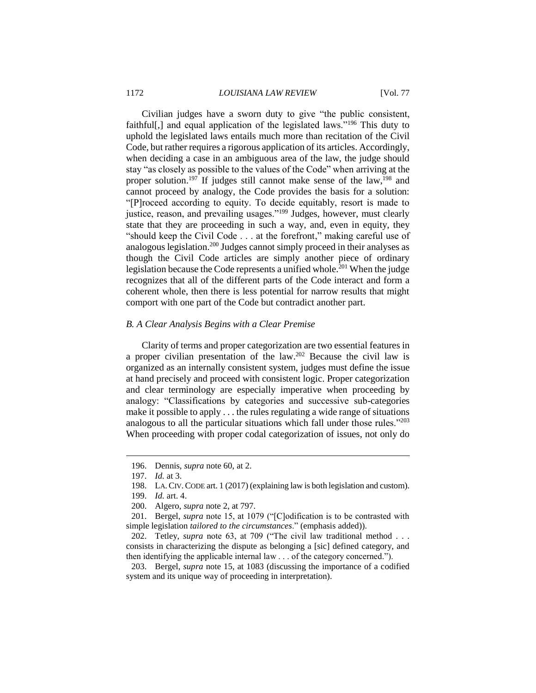Civilian judges have a sworn duty to give "the public consistent, faithful[,] and equal application of the legislated laws."<sup>196</sup> This duty to uphold the legislated laws entails much more than recitation of the Civil Code, but rather requires a rigorous application of its articles. Accordingly, when deciding a case in an ambiguous area of the law, the judge should stay "as closely as possible to the values of the Code" when arriving at the proper solution.<sup>197</sup> If judges still cannot make sense of the law,<sup>198</sup> and cannot proceed by analogy, the Code provides the basis for a solution: "[P]roceed according to equity. To decide equitably, resort is made to justice, reason, and prevailing usages."<sup>199</sup> Judges, however, must clearly state that they are proceeding in such a way, and, even in equity, they "should keep the Civil Code . . . at the forefront," making careful use of analogous legislation.<sup>200</sup> Judges cannot simply proceed in their analyses as though the Civil Code articles are simply another piece of ordinary legislation because the Code represents a unified whole.<sup>201</sup> When the judge recognizes that all of the different parts of the Code interact and form a coherent whole, then there is less potential for narrow results that might comport with one part of the Code but contradict another part.

#### *B. A Clear Analysis Begins with a Clear Premise*

Clarity of terms and proper categorization are two essential features in a proper civilian presentation of the law. <sup>202</sup> Because the civil law is organized as an internally consistent system, judges must define the issue at hand precisely and proceed with consistent logic. Proper categorization and clear terminology are especially imperative when proceeding by analogy: "Classifications by categories and successive sub-categories make it possible to apply . . . the rules regulating a wide range of situations analogous to all the particular situations which fall under those rules."<sup>203</sup> When proceeding with proper codal categorization of issues, not only do

 $\overline{a}$ 

202. Tetley, *supra* note 63, at 709 ("The civil law traditional method . . . consists in characterizing the dispute as belonging a [sic] defined category, and then identifying the applicable internal law . . . of the category concerned.").

203. Bergel, *supra* note 15, at 1083 (discussing the importance of a codified system and its unique way of proceeding in interpretation).

<sup>196.</sup> Dennis, *supra* note 60, at 2.

<sup>197.</sup> *Id.* at 3.

<sup>198.</sup> LA.CIV.CODE art. 1 (2017) (explaining law is both legislation and custom).

<sup>199.</sup> *Id.* art. 4.

<sup>200.</sup> Algero, *supra* note 2, at 797.

<sup>201.</sup> Bergel, *supra* note 15, at 1079 ("[C]odification is to be contrasted with simple legislation *tailored to the circumstances*." (emphasis added)).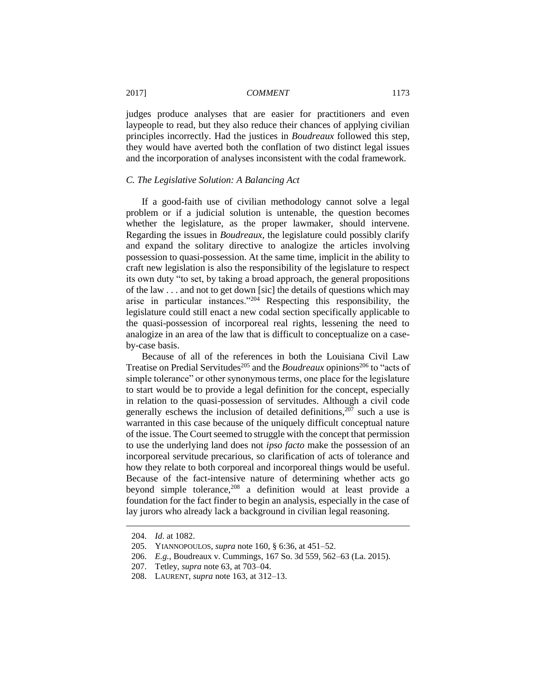judges produce analyses that are easier for practitioners and even laypeople to read, but they also reduce their chances of applying civilian principles incorrectly. Had the justices in *Boudreaux* followed this step, they would have averted both the conflation of two distinct legal issues and the incorporation of analyses inconsistent with the codal framework.

#### *C. The Legislative Solution: A Balancing Act*

If a good-faith use of civilian methodology cannot solve a legal problem or if a judicial solution is untenable, the question becomes whether the legislature, as the proper lawmaker, should intervene. Regarding the issues in *Boudreaux*, the legislature could possibly clarify and expand the solitary directive to analogize the articles involving possession to quasi-possession. At the same time, implicit in the ability to craft new legislation is also the responsibility of the legislature to respect its own duty "to set, by taking a broad approach, the general propositions of the law . . . and not to get down [sic] the details of questions which may arise in particular instances."<sup>204</sup> Respecting this responsibility, the legislature could still enact a new codal section specifically applicable to the quasi-possession of incorporeal real rights, lessening the need to analogize in an area of the law that is difficult to conceptualize on a caseby-case basis.

Because of all of the references in both the Louisiana Civil Law Treatise on Predial Servitudes<sup>205</sup> and the *Boudreaux* opinions<sup>206</sup> to "acts of simple tolerance" or other synonymous terms, one place for the legislature to start would be to provide a legal definition for the concept, especially in relation to the quasi-possession of servitudes. Although a civil code generally eschews the inclusion of detailed definitions,  $207$  such a use is warranted in this case because of the uniquely difficult conceptual nature of the issue. The Court seemed to struggle with the concept that permission to use the underlying land does not *ipso facto* make the possession of an incorporeal servitude precarious, so clarification of acts of tolerance and how they relate to both corporeal and incorporeal things would be useful. Because of the fact-intensive nature of determining whether acts go beyond simple tolerance,  $208$  a definition would at least provide a foundation for the fact finder to begin an analysis, especially in the case of lay jurors who already lack a background in civilian legal reasoning.

<sup>204.</sup> *Id*. at 1082.

<sup>205.</sup> YIANNOPOULOS, *supra* note 160, § 6:36, at 451–52.

<sup>206.</sup> *E.g.*, Boudreaux v. Cummings, 167 So. 3d 559, 562–63 (La. 2015).

<sup>207.</sup> Tetley, *supra* note 63, at 703–04.

<sup>208.</sup> LAURENT, *supra* note 163, at 312–13.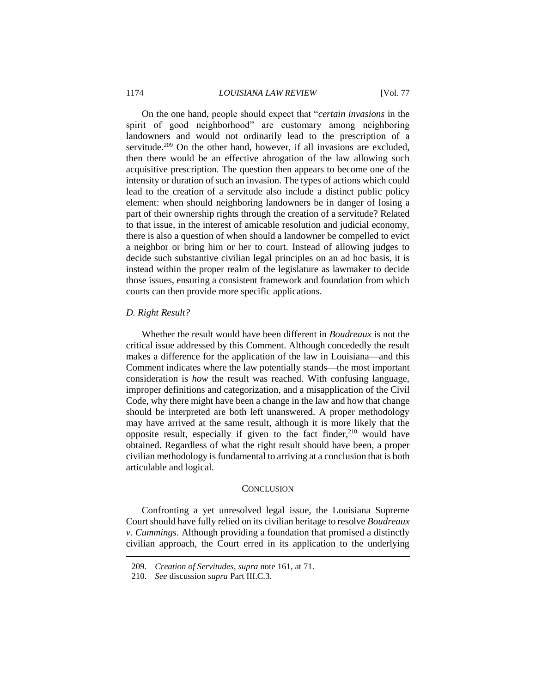On the one hand, people should expect that "*certain invasions* in the spirit of good neighborhood" are customary among neighboring landowners and would not ordinarily lead to the prescription of a servitude.<sup>209</sup> On the other hand, however, if all invasions are excluded, then there would be an effective abrogation of the law allowing such acquisitive prescription. The question then appears to become one of the intensity or duration of such an invasion. The types of actions which could lead to the creation of a servitude also include a distinct public policy element: when should neighboring landowners be in danger of losing a part of their ownership rights through the creation of a servitude? Related to that issue, in the interest of amicable resolution and judicial economy, there is also a question of when should a landowner be compelled to evict a neighbor or bring him or her to court. Instead of allowing judges to decide such substantive civilian legal principles on an ad hoc basis, it is instead within the proper realm of the legislature as lawmaker to decide those issues, ensuring a consistent framework and foundation from which courts can then provide more specific applications.

#### *D. Right Result?*

Whether the result would have been different in *Boudreaux* is not the critical issue addressed by this Comment. Although concededly the result makes a difference for the application of the law in Louisiana—and this Comment indicates where the law potentially stands—the most important consideration is *how* the result was reached. With confusing language, improper definitions and categorization, and a misapplication of the Civil Code, why there might have been a change in the law and how that change should be interpreted are both left unanswered. A proper methodology may have arrived at the same result, although it is more likely that the opposite result, especially if given to the fact finder, $210$  would have obtained. Regardless of what the right result should have been, a proper civilian methodology is fundamental to arriving at a conclusion that is both articulable and logical.

#### **CONCLUSION**

Confronting a yet unresolved legal issue, the Louisiana Supreme Court should have fully relied on its civilian heritage to resolve *Boudreaux v. Cummings*. Although providing a foundation that promised a distinctly civilian approach, the Court erred in its application to the underlying

<sup>209.</sup> *Creation of Servitudes*, *supra* note 161, at 71.

<sup>210.</sup> *See* discussion *supra* Part III.C.3.